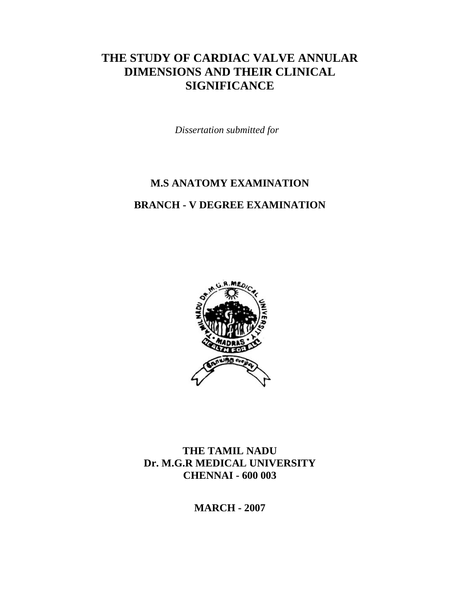# **THE STUDY OF CARDIAC VALVE ANNULAR DIMENSIONS AND THEIR CLINICAL SIGNIFICANCE**

*Dissertation submitted for* 

# **M.S ANATOMY EXAMINATION**

### **BRANCH - V DEGREE EXAMINATION**



**THE TAMIL NADU Dr. M.G.R MEDICAL UNIVERSITY CHENNAI - 600 003** 

**MARCH - 2007**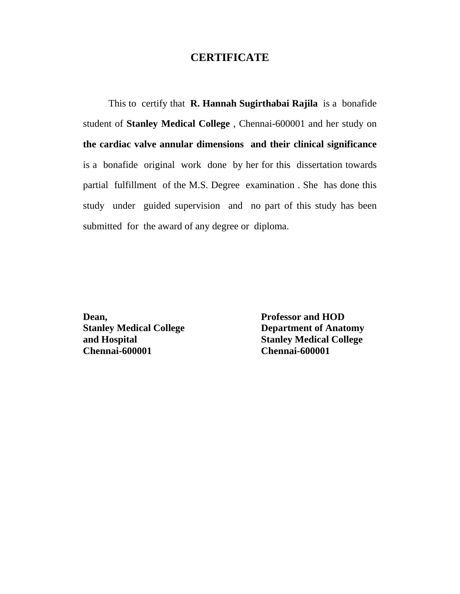### **CERTIFICATE**

This to certify that **R. Hannah Sugirthabai Rajila** is a bonafide student of **Stanley Medical College** , Chennai-600001 and her study on **the cardiac valve annular dimensions and their clinical significance** is a bonafide original work done by her for this dissertation towards partial fulfillment of the M.S. Degree examination . She has done this study under guided supervision and no part of this study has been submitted for the award of any degree or diploma.

**Dean, Professor and HOD Chennai-600001 Chennai-600001** 

**Stanley Medical College 2018 Department of Anatomy and Hospital Stanley Medical College**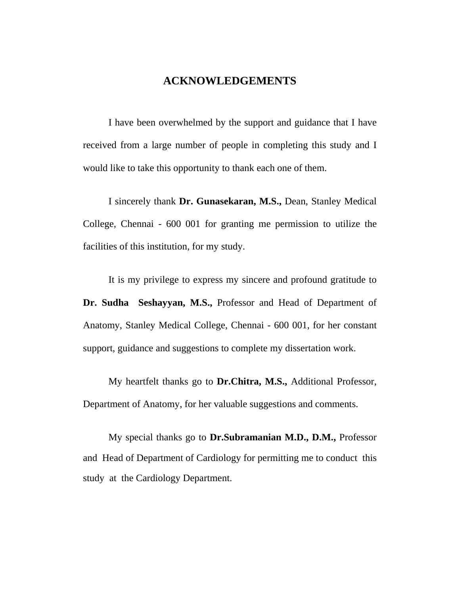### **ACKNOWLEDGEMENTS**

I have been overwhelmed by the support and guidance that I have received from a large number of people in completing this study and I would like to take this opportunity to thank each one of them.

I sincerely thank **Dr. Gunasekaran, M.S.,** Dean, Stanley Medical College, Chennai - 600 001 for granting me permission to utilize the facilities of this institution, for my study.

It is my privilege to express my sincere and profound gratitude to **Dr. Sudha Seshayyan, M.S.,** Professor and Head of Department of Anatomy, Stanley Medical College, Chennai - 600 001, for her constant support, guidance and suggestions to complete my dissertation work.

My heartfelt thanks go to **Dr.Chitra, M.S.,** Additional Professor, Department of Anatomy, for her valuable suggestions and comments.

My special thanks go to **Dr.Subramanian M.D., D.M.,** Professor and Head of Department of Cardiology for permitting me to conduct this study at the Cardiology Department.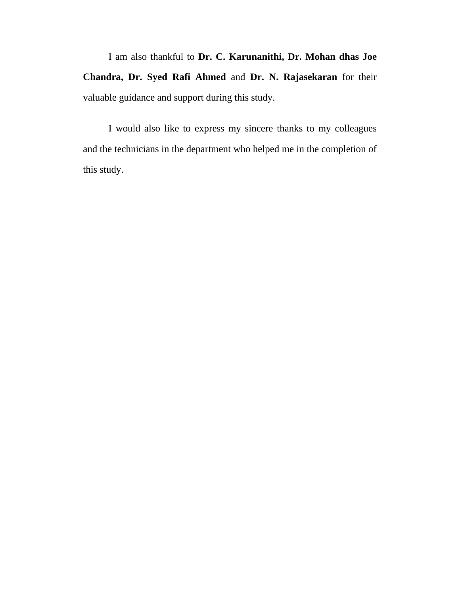I am also thankful to **Dr. C. Karunanithi, Dr. Mohan dhas Joe Chandra, Dr. Syed Rafi Ahmed** and **Dr. N. Rajasekaran** for their valuable guidance and support during this study.

I would also like to express my sincere thanks to my colleagues and the technicians in the department who helped me in the completion of this study.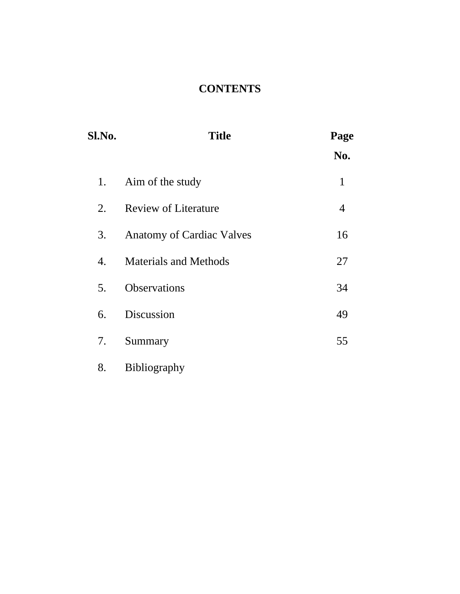# **CONTENTS**

| Sl.No. | <b>Title</b>                     | Page<br>No.    |
|--------|----------------------------------|----------------|
| 1.     | Aim of the study                 | $\mathbf{1}$   |
| 2.     | <b>Review of Literature</b>      | $\overline{4}$ |
| 3.     | <b>Anatomy of Cardiac Valves</b> | 16             |
| 4.     | <b>Materials and Methods</b>     | 27             |
| 5.     | Observations                     | 34             |
| 6.     | Discussion                       | 49             |
| 7.     | Summary                          | 55             |
|        |                                  |                |

8. Bibliography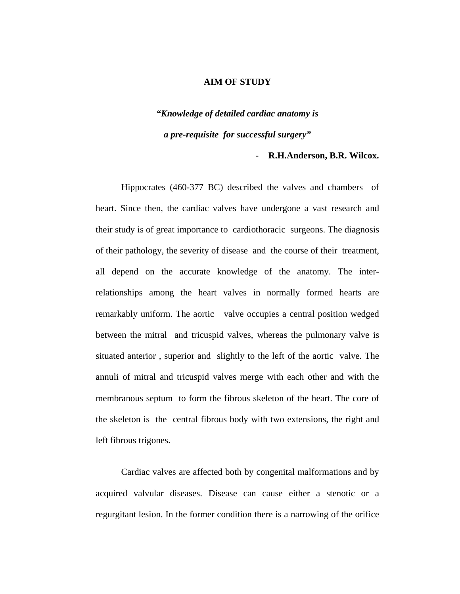### **AIM OF STUDY**

# *"Knowledge of detailed cardiac anatomy is a pre-requisite for successful surgery"*

### - **R.H.Anderson, B.R. Wilcox.**

 Hippocrates (460-377 BC) described the valves and chambers of heart. Since then, the cardiac valves have undergone a vast research and their study is of great importance to cardiothoracic surgeons. The diagnosis of their pathology, the severity of disease and the course of their treatment, all depend on the accurate knowledge of the anatomy. The interrelationships among the heart valves in normally formed hearts are remarkably uniform. The aortic valve occupies a central position wedged between the mitral and tricuspid valves, whereas the pulmonary valve is situated anterior , superior and slightly to the left of the aortic valve. The annuli of mitral and tricuspid valves merge with each other and with the membranous septum to form the fibrous skeleton of the heart. The core of the skeleton is the central fibrous body with two extensions, the right and left fibrous trigones.

 Cardiac valves are affected both by congenital malformations and by acquired valvular diseases. Disease can cause either a stenotic or a regurgitant lesion. In the former condition there is a narrowing of the orifice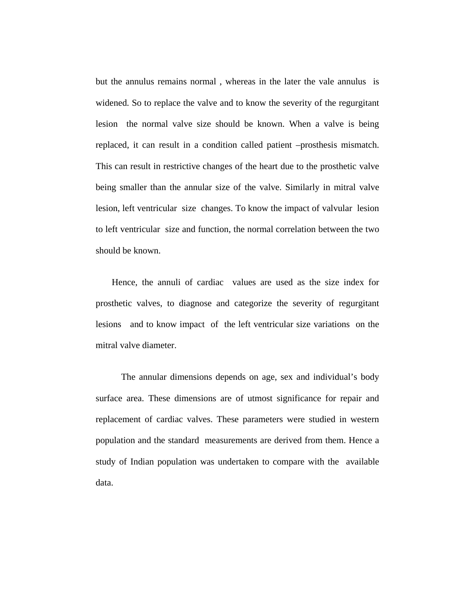but the annulus remains normal , whereas in the later the vale annulus is widened. So to replace the valve and to know the severity of the regurgitant lesion the normal valve size should be known. When a valve is being replaced, it can result in a condition called patient –prosthesis mismatch. This can result in restrictive changes of the heart due to the prosthetic valve being smaller than the annular size of the valve. Similarly in mitral valve lesion, left ventricular size changes. To know the impact of valvular lesion to left ventricular size and function, the normal correlation between the two should be known.

 Hence, the annuli of cardiac values are used as the size index for prosthetic valves, to diagnose and categorize the severity of regurgitant lesions and to know impact of the left ventricular size variations on the mitral valve diameter.

 The annular dimensions depends on age, sex and individual's body surface area. These dimensions are of utmost significance for repair and replacement of cardiac valves. These parameters were studied in western population and the standard measurements are derived from them. Hence a study of Indian population was undertaken to compare with the available data.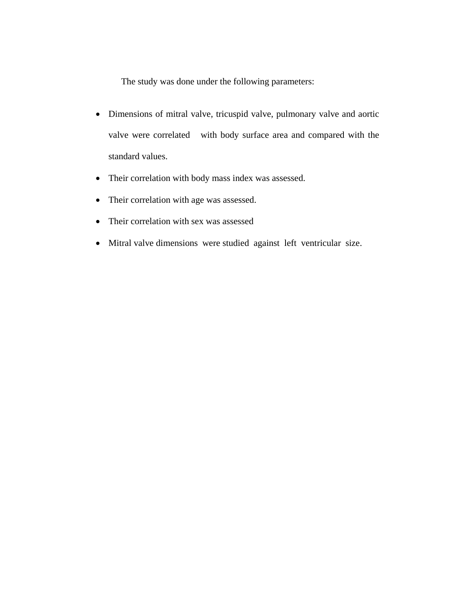The study was done under the following parameters:

- Dimensions of mitral valve, tricuspid valve, pulmonary valve and aortic valve were correlated with body surface area and compared with the standard values.
- Their correlation with body mass index was assessed.
- Their correlation with age was assessed.
- Their correlation with sex was assessed
- Mitral valve dimensions were studied against left ventricular size.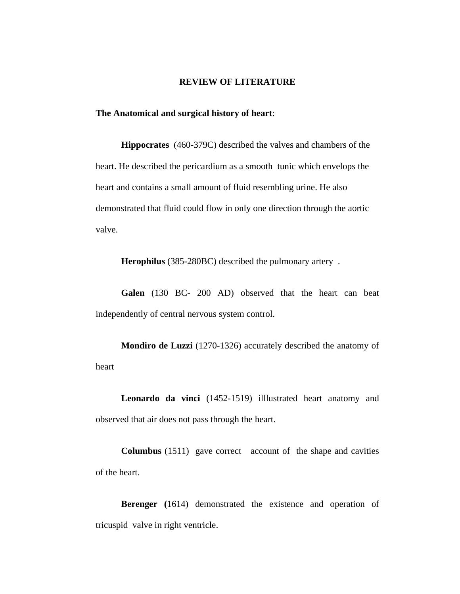#### **REVIEW OF LITERATURE**

**The Anatomical and surgical history of heart**:

**Hippocrates** (460-379C) described the valves and chambers of the heart. He described the pericardium as a smooth tunic which envelops the heart and contains a small amount of fluid resembling urine. He also demonstrated that fluid could flow in only one direction through the aortic valve.

**Herophilus** (385-280BC) described the pulmonary artery .

**Galen** (130 BC- 200 AD) observed that the heart can beat independently of central nervous system control.

**Mondiro de Luzzi** (1270-1326) accurately described the anatomy of heart

**Leonardo da vinci** (1452-1519) illlustrated heart anatomy and observed that air does not pass through the heart.

**Columbus** (1511) gave correct account of the shape and cavities of the heart.

**Berenger (**1614) demonstrated the existence and operation of tricuspid valve in right ventricle.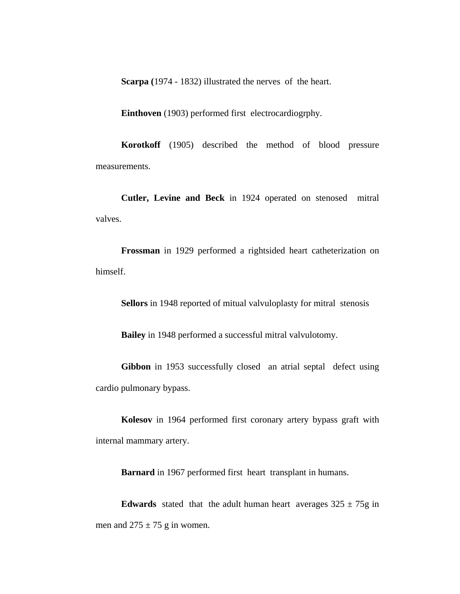**Scarpa (**1974 - 1832) illustrated the nerves of the heart.

**Einthoven** (1903) performed first electrocardiogrphy.

**Korotkoff** (1905) described the method of blood pressure measurements.

**Cutler, Levine and Beck** in 1924 operated on stenosed mitral valves.

**Frossman** in 1929 performed a rightsided heart catheterization on himself.

**Sellors** in 1948 reported of mitual valvuloplasty for mitral stenosis

**Bailey** in 1948 performed a successful mitral valvulotomy.

**Gibbon** in 1953 successfully closed an atrial septal defect using cardio pulmonary bypass.

**Kolesov** in 1964 performed first coronary artery bypass graft with internal mammary artery.

**Barnard** in 1967 performed first heart transplant in humans.

**Edwards** stated that the adult human heart averages  $325 \pm 75$ g in men and  $275 \pm 75$  g in women.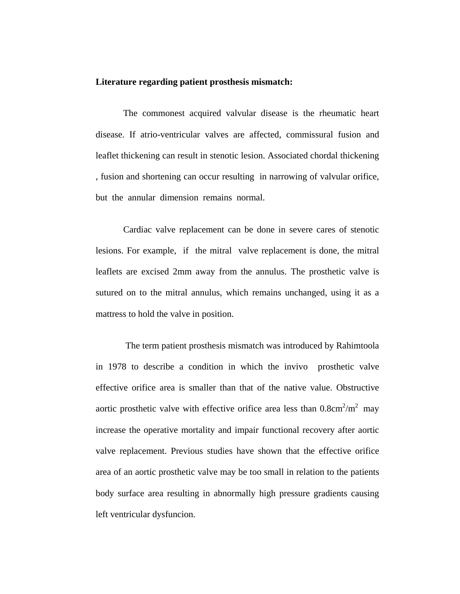### **Literature regarding patient prosthesis mismatch:**

 The commonest acquired valvular disease is the rheumatic heart disease. If atrio-ventricular valves are affected, commissural fusion and leaflet thickening can result in stenotic lesion. Associated chordal thickening , fusion and shortening can occur resulting in narrowing of valvular orifice, but the annular dimension remains normal.

 Cardiac valve replacement can be done in severe cares of stenotic lesions. For example, if the mitral valve replacement is done, the mitral leaflets are excised 2mm away from the annulus. The prosthetic valve is sutured on to the mitral annulus, which remains unchanged, using it as a mattress to hold the valve in position.

 The term patient prosthesis mismatch was introduced by Rahimtoola in 1978 to describe a condition in which the invivo prosthetic valve effective orifice area is smaller than that of the native value. Obstructive aortic prosthetic valve with effective orifice area less than  $0.8 \text{cm}^2/\text{m}^2$  may increase the operative mortality and impair functional recovery after aortic valve replacement. Previous studies have shown that the effective orifice area of an aortic prosthetic valve may be too small in relation to the patients body surface area resulting in abnormally high pressure gradients causing left ventricular dysfuncion.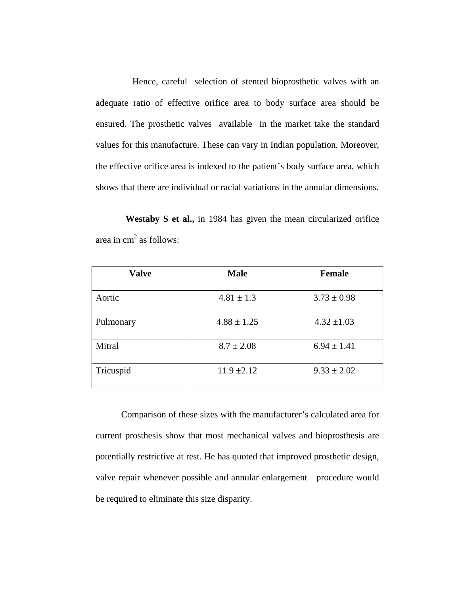Hence, careful selection of stented bioprosthetic valves with an adequate ratio of effective orifice area to body surface area should be ensured. The prosthetic valves available in the market take the standard values for this manufacture. These can vary in Indian population. Moreover, the effective orifice area is indexed to the patient's body surface area, which shows that there are individual or racial variations in the annular dimensions.

 **Westaby S et al.,** in 1984 has given the mean circularized orifice area in  $cm<sup>2</sup>$  as follows:

| <b>Valve</b> | <b>Male</b>     | <b>Female</b>   |
|--------------|-----------------|-----------------|
| Aortic       | $4.81 \pm 1.3$  | $3.73 \pm 0.98$ |
| Pulmonary    | $4.88 \pm 1.25$ | $4.32 \pm 1.03$ |
| Mitral       | $8.7 \pm 2.08$  | $6.94 \pm 1.41$ |
| Tricuspid    | $11.9 \pm 2.12$ | $9.33 \pm 2.02$ |

Comparison of these sizes with the manufacturer's calculated area for current prosthesis show that most mechanical valves and bioprosthesis are potentially restrictive at rest. He has quoted that improved prosthetic design, valve repair whenever possible and annular enlargement procedure would be required to eliminate this size disparity.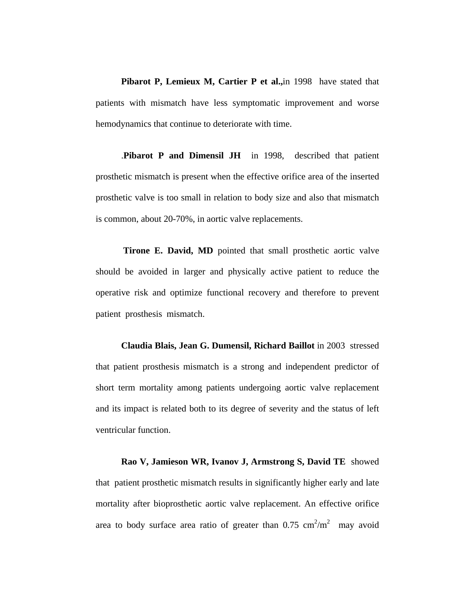**Pibarot P, Lemieux M, Cartier P et al.,**in 1998 have stated that patients with mismatch have less symptomatic improvement and worse hemodynamics that continue to deteriorate with time.

.**Pibarot P and Dimensil JH** in 1998, described that patient prosthetic mismatch is present when the effective orifice area of the inserted prosthetic valve is too small in relation to body size and also that mismatch is common, about 20-70%, in aortic valve replacements.

**Tirone E. David, MD** pointed that small prosthetic aortic valve should be avoided in larger and physically active patient to reduce the operative risk and optimize functional recovery and therefore to prevent patient prosthesis mismatch.

**Claudia Blais, Jean G. Dumensil, Richard Baillot** in 2003 stressed that patient prosthesis mismatch is a strong and independent predictor of short term mortality among patients undergoing aortic valve replacement and its impact is related both to its degree of severity and the status of left ventricular function.

**Rao V, Jamieson WR, Ivanov J, Armstrong S, David TE** showed that patient prosthetic mismatch results in significantly higher early and late mortality after bioprosthetic aortic valve replacement. An effective orifice area to body surface area ratio of greater than  $0.75 \text{ cm}^2/\text{m}^2$  may avoid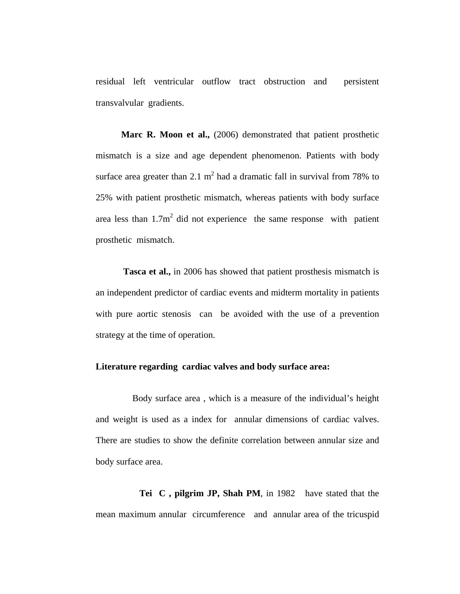residual left ventricular outflow tract obstruction and persistent transvalvular gradients.

Marc R. Moon et al., (2006) demonstrated that patient prosthetic mismatch is a size and age dependent phenomenon. Patients with body surface area greater than 2.1  $m^2$  had a dramatic fall in survival from 78% to 25% with patient prosthetic mismatch, whereas patients with body surface area less than  $1.7m^2$  did not experience the same response with patient prosthetic mismatch.

 **Tasca et al.,** in 2006 has showed that patient prosthesis mismatch is an independent predictor of cardiac events and midterm mortality in patients with pure aortic stenosis can be avoided with the use of a prevention strategy at the time of operation.

### **Literature regarding cardiac valves and body surface area:**

 Body surface area , which is a measure of the individual's height and weight is used as a index for annular dimensions of cardiac valves. There are studies to show the definite correlation between annular size and body surface area.

 **Tei C , pilgrim JP, Shah PM**, in 1982 have stated that the mean maximum annular circumference and annular area of the tricuspid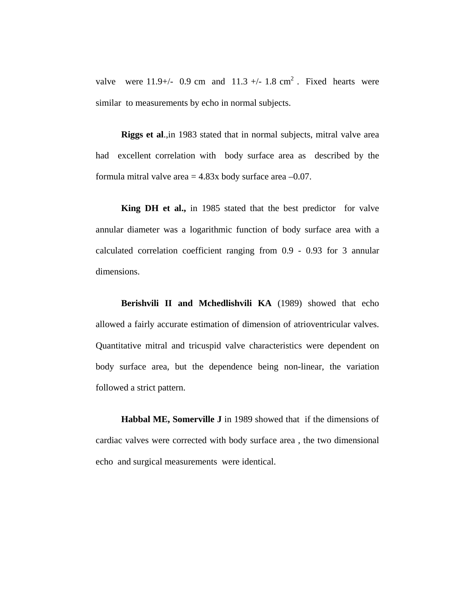valve were  $11.9+/$  0.9 cm and  $11.3+/-1.8$  cm<sup>2</sup>. Fixed hearts were similar to measurements by echo in normal subjects.

**Riggs et al**.,in 1983 stated that in normal subjects, mitral valve area had excellent correlation with body surface area as described by the formula mitral valve area  $= 4.83x$  body surface area  $-0.07$ .

**King DH et al.,** in 1985 stated that the best predictor for valve annular diameter was a logarithmic function of body surface area with a calculated correlation coefficient ranging from 0.9 - 0.93 for 3 annular dimensions.

**Berishvili II and Mchedlishvili KA** (1989) showed that echo allowed a fairly accurate estimation of dimension of atrioventricular valves. Quantitative mitral and tricuspid valve characteristics were dependent on body surface area, but the dependence being non-linear, the variation followed a strict pattern.

**Habbal ME, Somerville J** in 1989 showed that if the dimensions of cardiac valves were corrected with body surface area , the two dimensional echo and surgical measurements were identical.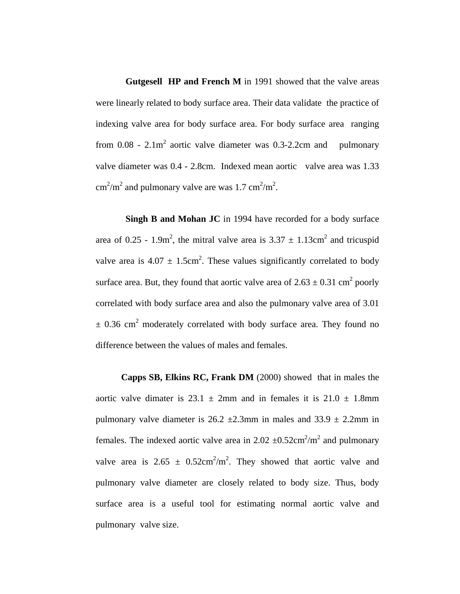**Gutgesell HP and French M** in 1991 showed that the valve areas were linearly related to body surface area. Their data validate the practice of indexing valve area for body surface area. For body surface area ranging from  $0.08 - 2.1m^2$  aortic valve diameter was 0.3-2.2cm and pulmonary valve diameter was 0.4 - 2.8cm. Indexed mean aortic valve area was 1.33  $\text{cm}^2/\text{m}^2$  and pulmonary valve are was 1.7  $\text{cm}^2/\text{m}^2$ .

**Singh B and Mohan JC** in 1994 have recorded for a body surface area of 0.25 - 1.9m<sup>2</sup>, the mitral valve area is  $3.37 \pm 1.13$ cm<sup>2</sup> and tricuspid valve area is  $4.07 \pm 1.5$ cm<sup>2</sup>. These values significantly correlated to body surface area. But, they found that aortic valve area of  $2.63 \pm 0.31$  cm<sup>2</sup> poorly correlated with body surface area and also the pulmonary valve area of 3.01  $\pm$  0.36 cm<sup>2</sup> moderately correlated with body surface area. They found no difference between the values of males and females.

**Capps SB, Elkins RC, Frank DM** (2000) showed that in males the aortic valve dimater is 23.1  $\pm$  2mm and in females it is 21.0  $\pm$  1.8mm pulmonary valve diameter is  $26.2 \pm 2.3$ mm in males and  $33.9 \pm 2.2$ mm in females. The indexed aortic valve area in  $2.02 \pm 0.52 \text{cm}^2/\text{m}^2$  and pulmonary valve area is  $2.65 \pm 0.52 \text{cm}^2/\text{m}^2$ . They showed that aortic valve and pulmonary valve diameter are closely related to body size. Thus, body surface area is a useful tool for estimating normal aortic valve and pulmonary valve size.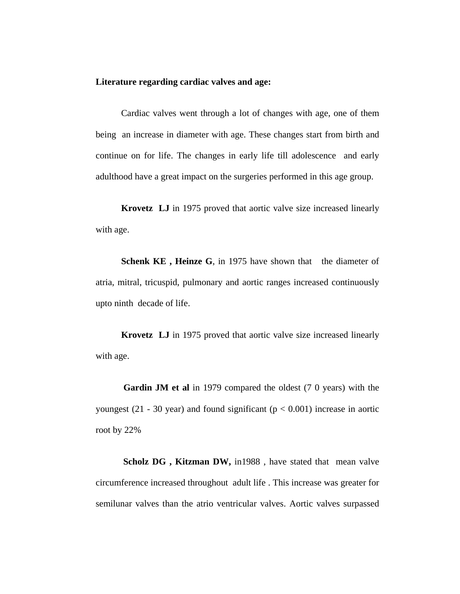### **Literature regarding cardiac valves and age:**

Cardiac valves went through a lot of changes with age, one of them being an increase in diameter with age. These changes start from birth and continue on for life. The changes in early life till adolescence and early adulthood have a great impact on the surgeries performed in this age group.

**Krovetz LJ** in 1975 proved that aortic valve size increased linearly with age.

**Schenk KE**, Heinze G, in 1975 have shown that the diameter of atria, mitral, tricuspid, pulmonary and aortic ranges increased continuously upto ninth decade of life.

**Krovetz LJ** in 1975 proved that aortic valve size increased linearly with age.

**Gardin JM et al** in 1979 compared the oldest (7 0 years) with the youngest (21 - 30 year) and found significant ( $p < 0.001$ ) increase in aortic root by 22%

 **Scholz DG , Kitzman DW,** in1988 , have stated that mean valve circumference increased throughout adult life . This increase was greater for semilunar valves than the atrio ventricular valves. Aortic valves surpassed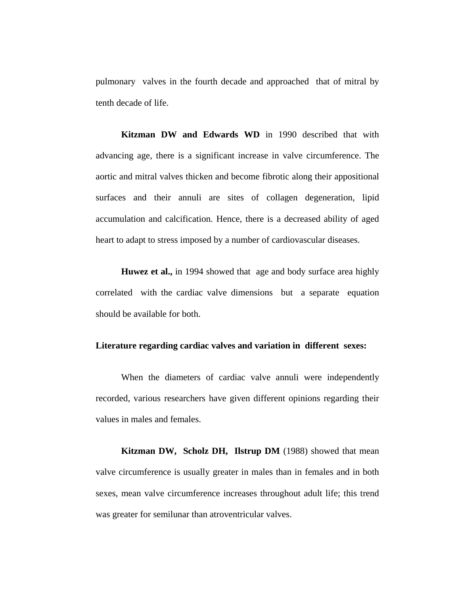pulmonary valves in the fourth decade and approached that of mitral by tenth decade of life.

**Kitzman DW and Edwards WD** in 1990 described that with advancing age, there is a significant increase in valve circumference. The aortic and mitral valves thicken and become fibrotic along their appositional surfaces and their annuli are sites of collagen degeneration, lipid accumulation and calcification. Hence, there is a decreased ability of aged heart to adapt to stress imposed by a number of cardiovascular diseases.

**Huwez et al.,** in 1994 showed that age and body surface area highly correlated with the cardiac valve dimensions but a separate equation should be available for both.

### **Literature regarding cardiac valves and variation in different sexes:**

When the diameters of cardiac valve annuli were independently recorded, various researchers have given different opinions regarding their values in males and females.

**Kitzman DW, Scholz DH, Ilstrup DM** (1988) showed that mean valve circumference is usually greater in males than in females and in both sexes, mean valve circumference increases throughout adult life; this trend was greater for semilunar than atroventricular valves.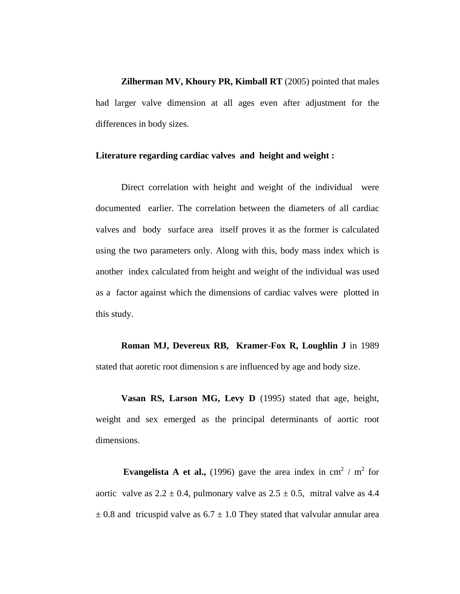**Zilherman MV, Khoury PR, Kimball RT** (2005) pointed that males had larger valve dimension at all ages even after adjustment for the differences in body sizes.

### Literature regarding cardiac valves and height and weight :

Direct correlation with height and weight of the individual were documented earlier. The correlation between the diameters of all cardiac valves and body surface area itself proves it as the former is calculated using the two parameters only. Along with this, body mass index which is another index calculated from height and weight of the individual was used as a factor against which the dimensions of cardiac valves were plotted in this study.

**Roman MJ, Devereux RB, Kramer-Fox R, Loughlin J** in 1989 stated that aoretic root dimension s are influenced by age and body size.

**Vasan RS, Larson MG, Levy D** (1995) stated that age, height, weight and sex emerged as the principal determinants of aortic root dimensions.

**Evangelista A et al.,** (1996) gave the area index in cm<sup>2</sup> / m<sup>2</sup> for aortic valve as  $2.2 \pm 0.4$ , pulmonary valve as  $2.5 \pm 0.5$ , mitral valve as 4.4  $\pm$  0.8 and tricuspid valve as 6.7  $\pm$  1.0 They stated that valvular annular area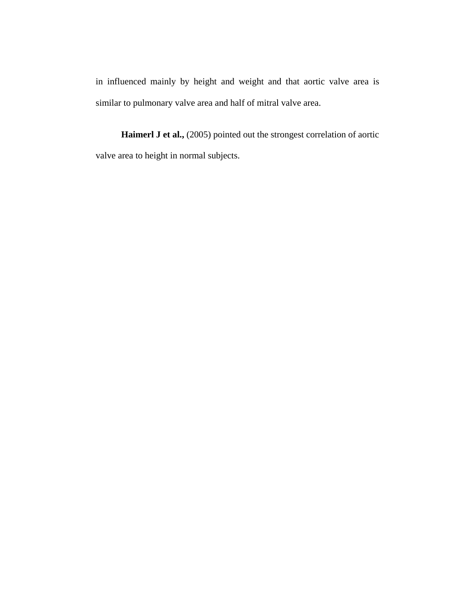in influenced mainly by height and weight and that aortic valve area is similar to pulmonary valve area and half of mitral valve area.

Haimerl J et al., (2005) pointed out the strongest correlation of aortic valve area to height in normal subjects.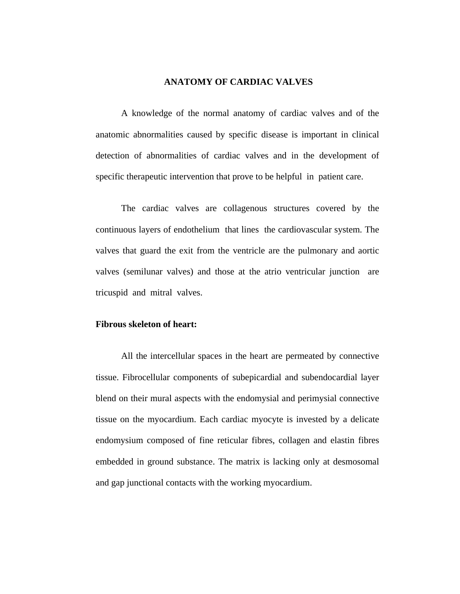### **ANATOMY OF CARDIAC VALVES**

A knowledge of the normal anatomy of cardiac valves and of the anatomic abnormalities caused by specific disease is important in clinical detection of abnormalities of cardiac valves and in the development of specific therapeutic intervention that prove to be helpful in patient care.

The cardiac valves are collagenous structures covered by the continuous layers of endothelium that lines the cardiovascular system. The valves that guard the exit from the ventricle are the pulmonary and aortic valves (semilunar valves) and those at the atrio ventricular junction are tricuspid and mitral valves.

#### **Fibrous skeleton of heart:**

All the intercellular spaces in the heart are permeated by connective tissue. Fibrocellular components of subepicardial and subendocardial layer blend on their mural aspects with the endomysial and perimysial connective tissue on the myocardium. Each cardiac myocyte is invested by a delicate endomysium composed of fine reticular fibres, collagen and elastin fibres embedded in ground substance. The matrix is lacking only at desmosomal and gap junctional contacts with the working myocardium.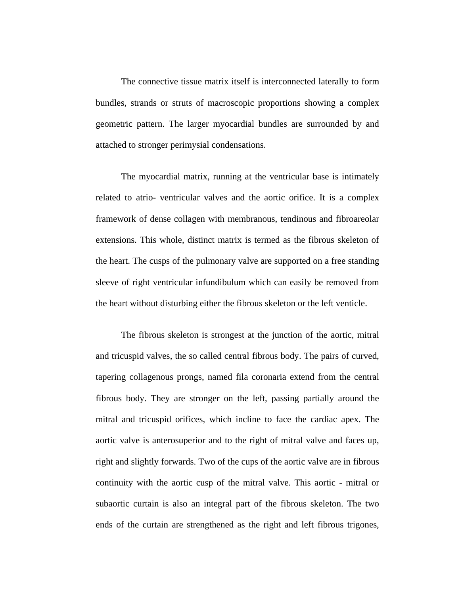The connective tissue matrix itself is interconnected laterally to form bundles, strands or struts of macroscopic proportions showing a complex geometric pattern. The larger myocardial bundles are surrounded by and attached to stronger perimysial condensations.

The myocardial matrix, running at the ventricular base is intimately related to atrio- ventricular valves and the aortic orifice. It is a complex framework of dense collagen with membranous, tendinous and fibroareolar extensions. This whole, distinct matrix is termed as the fibrous skeleton of the heart. The cusps of the pulmonary valve are supported on a free standing sleeve of right ventricular infundibulum which can easily be removed from the heart without disturbing either the fibrous skeleton or the left venticle.

The fibrous skeleton is strongest at the junction of the aortic, mitral and tricuspid valves, the so called central fibrous body. The pairs of curved, tapering collagenous prongs, named fila coronaria extend from the central fibrous body. They are stronger on the left, passing partially around the mitral and tricuspid orifices, which incline to face the cardiac apex. The aortic valve is anterosuperior and to the right of mitral valve and faces up, right and slightly forwards. Two of the cups of the aortic valve are in fibrous continuity with the aortic cusp of the mitral valve. This aortic - mitral or subaortic curtain is also an integral part of the fibrous skeleton. The two ends of the curtain are strengthened as the right and left fibrous trigones,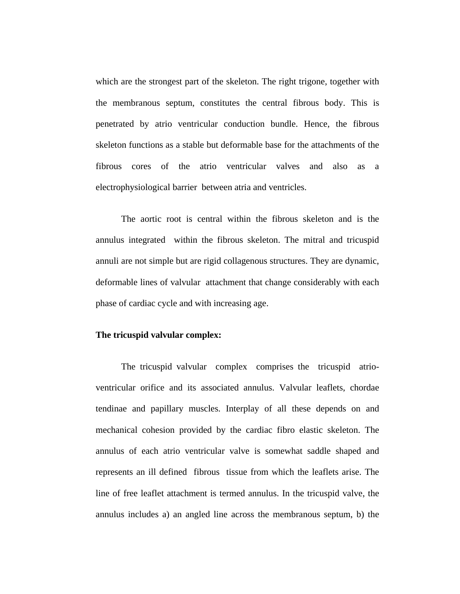which are the strongest part of the skeleton. The right trigone, together with the membranous septum, constitutes the central fibrous body. This is penetrated by atrio ventricular conduction bundle. Hence, the fibrous skeleton functions as a stable but deformable base for the attachments of the fibrous cores of the atrio ventricular valves and also as a electrophysiological barrier between atria and ventricles.

The aortic root is central within the fibrous skeleton and is the annulus integrated within the fibrous skeleton. The mitral and tricuspid annuli are not simple but are rigid collagenous structures. They are dynamic, deformable lines of valvular attachment that change considerably with each phase of cardiac cycle and with increasing age.

### **The tricuspid valvular complex:**

The tricuspid valvular complex comprises the tricuspid atrioventricular orifice and its associated annulus. Valvular leaflets, chordae tendinae and papillary muscles. Interplay of all these depends on and mechanical cohesion provided by the cardiac fibro elastic skeleton. The annulus of each atrio ventricular valve is somewhat saddle shaped and represents an ill defined fibrous tissue from which the leaflets arise. The line of free leaflet attachment is termed annulus. In the tricuspid valve, the annulus includes a) an angled line across the membranous septum, b) the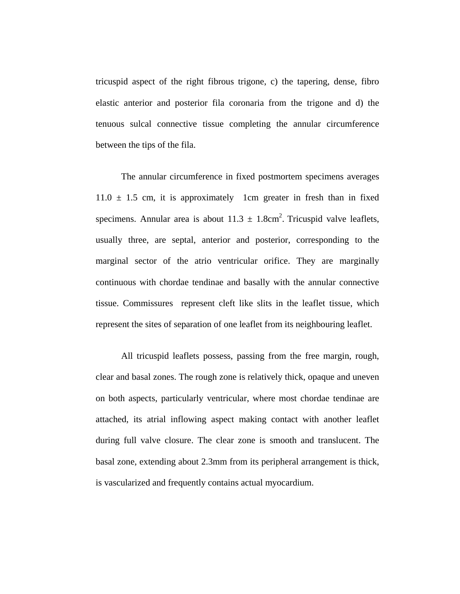tricuspid aspect of the right fibrous trigone, c) the tapering, dense, fibro elastic anterior and posterior fila coronaria from the trigone and d) the tenuous sulcal connective tissue completing the annular circumference between the tips of the fila.

The annular circumference in fixed postmortem specimens averages  $11.0 \pm 1.5$  cm, it is approximately 1cm greater in fresh than in fixed specimens. Annular area is about  $11.3 \pm 1.8 \text{cm}^2$ . Tricuspid valve leaflets, usually three, are septal, anterior and posterior, corresponding to the marginal sector of the atrio ventricular orifice. They are marginally continuous with chordae tendinae and basally with the annular connective tissue. Commissures represent cleft like slits in the leaflet tissue, which represent the sites of separation of one leaflet from its neighbouring leaflet.

All tricuspid leaflets possess, passing from the free margin, rough, clear and basal zones. The rough zone is relatively thick, opaque and uneven on both aspects, particularly ventricular, where most chordae tendinae are attached, its atrial inflowing aspect making contact with another leaflet during full valve closure. The clear zone is smooth and translucent. The basal zone, extending about 2.3mm from its peripheral arrangement is thick, is vascularized and frequently contains actual myocardium.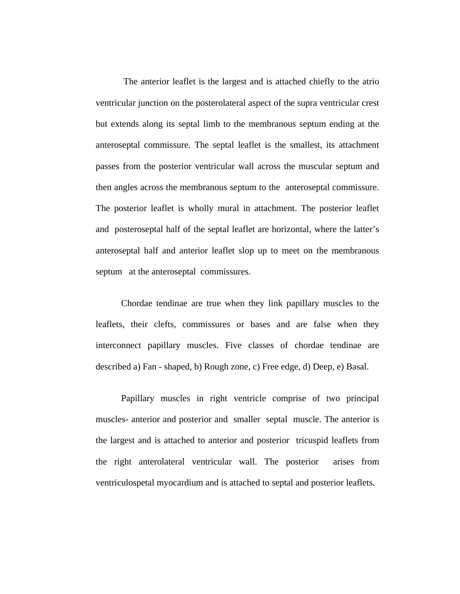The anterior leaflet is the largest and is attached chiefly to the atrio ventricular junction on the posterolateral aspect of the supra ventricular crest but extends along its septal limb to the membranous septum ending at the anteroseptal commissure. The septal leaflet is the smallest, its attachment passes from the posterior ventricular wall across the muscular septum and then angles across the membranous septum to the anteroseptal commissure. The posterior leaflet is wholly mural in attachment. The posterior leaflet and posteroseptal half of the septal leaflet are horizontal, where the latter's anteroseptal half and anterior leaflet slop up to meet on the membranous septum at the anteroseptal commissures.

Chordae tendinae are true when they link papillary muscles to the leaflets, their clefts, commissures or bases and are false when they interconnect papillary muscles. Five classes of chordae tendinae are described a) Fan - shaped, b) Rough zone, c) Free edge, d) Deep, e) Basal.

Papillary muscles in right ventricle comprise of two principal muscles- anterior and posterior and smaller septal muscle. The anterior is the largest and is attached to anterior and posterior tricuspid leaflets from the right anterolateral ventricular wall. The posterior arises from ventriculospetal myocardium and is attached to septal and posterior leaflets.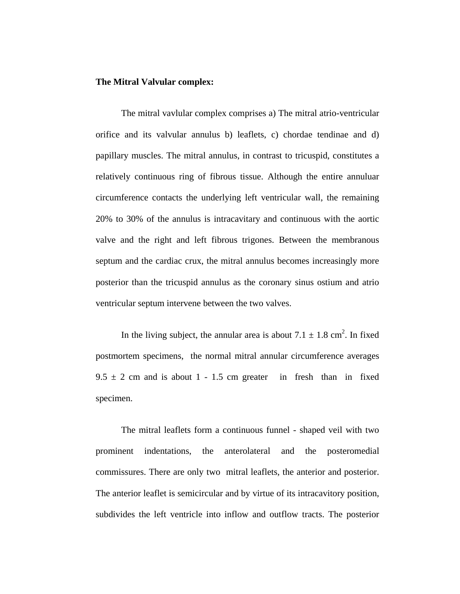### **The Mitral Valvular complex:**

The mitral vavlular complex comprises a) The mitral atrio-ventricular orifice and its valvular annulus b) leaflets, c) chordae tendinae and d) papillary muscles. The mitral annulus, in contrast to tricuspid, constitutes a relatively continuous ring of fibrous tissue. Although the entire annuluar circumference contacts the underlying left ventricular wall, the remaining 20% to 30% of the annulus is intracavitary and continuous with the aortic valve and the right and left fibrous trigones. Between the membranous septum and the cardiac crux, the mitral annulus becomes increasingly more posterior than the tricuspid annulus as the coronary sinus ostium and atrio ventricular septum intervene between the two valves.

In the living subject, the annular area is about  $7.1 \pm 1.8$  cm<sup>2</sup>. In fixed postmortem specimens, the normal mitral annular circumference averages  $9.5 \pm 2$  cm and is about 1 - 1.5 cm greater in fresh than in fixed specimen.

The mitral leaflets form a continuous funnel - shaped veil with two prominent indentations, the anterolateral and the posteromedial commissures. There are only two mitral leaflets, the anterior and posterior. The anterior leaflet is semicircular and by virtue of its intracavitory position, subdivides the left ventricle into inflow and outflow tracts. The posterior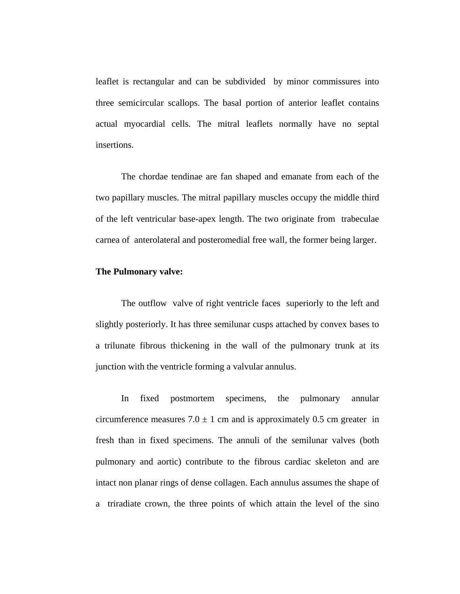leaflet is rectangular and can be subdivided by minor commissures into three semicircular scallops. The basal portion of anterior leaflet contains actual myocardial cells. The mitral leaflets normally have no septal insertions.

The chordae tendinae are fan shaped and emanate from each of the two papillary muscles. The mitral papillary muscles occupy the middle third of the left ventricular base-apex length. The two originate from trabeculae carnea of anterolateral and posteromedial free wall, the former being larger.

### **The Pulmonary valve:**

The outflow valve of right ventricle faces superiorly to the left and slightly posteriorly. It has three semilunar cusps attached by convex bases to a trilunate fibrous thickening in the wall of the pulmonary trunk at its junction with the ventricle forming a valvular annulus.

In fixed postmortem specimens, the pulmonary annular circumference measures  $7.0 \pm 1$  cm and is approximately 0.5 cm greater in fresh than in fixed specimens. The annuli of the semilunar valves (both pulmonary and aortic) contribute to the fibrous cardiac skeleton and are intact non planar rings of dense collagen. Each annulus assumes the shape of a triradiate crown, the three points of which attain the level of the sino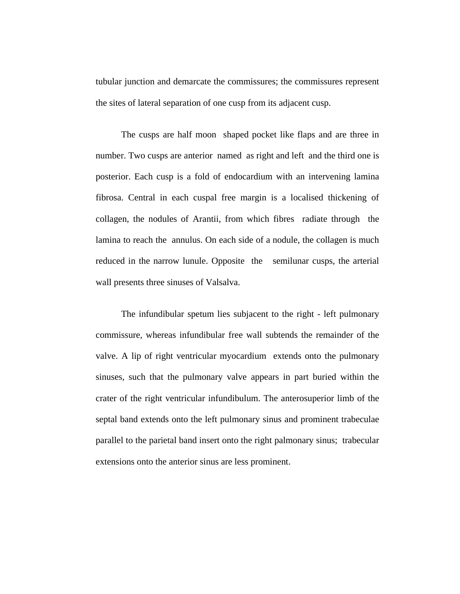tubular junction and demarcate the commissures; the commissures represent the sites of lateral separation of one cusp from its adjacent cusp.

The cusps are half moon shaped pocket like flaps and are three in number. Two cusps are anterior named as right and left and the third one is posterior. Each cusp is a fold of endocardium with an intervening lamina fibrosa. Central in each cuspal free margin is a localised thickening of collagen, the nodules of Arantii, from which fibres radiate through the lamina to reach the annulus. On each side of a nodule, the collagen is much reduced in the narrow lunule. Opposite the semilunar cusps, the arterial wall presents three sinuses of Valsalva.

The infundibular spetum lies subjacent to the right - left pulmonary commissure, whereas infundibular free wall subtends the remainder of the valve. A lip of right ventricular myocardium extends onto the pulmonary sinuses, such that the pulmonary valve appears in part buried within the crater of the right ventricular infundibulum. The anterosuperior limb of the septal band extends onto the left pulmonary sinus and prominent trabeculae parallel to the parietal band insert onto the right palmonary sinus; trabecular extensions onto the anterior sinus are less prominent.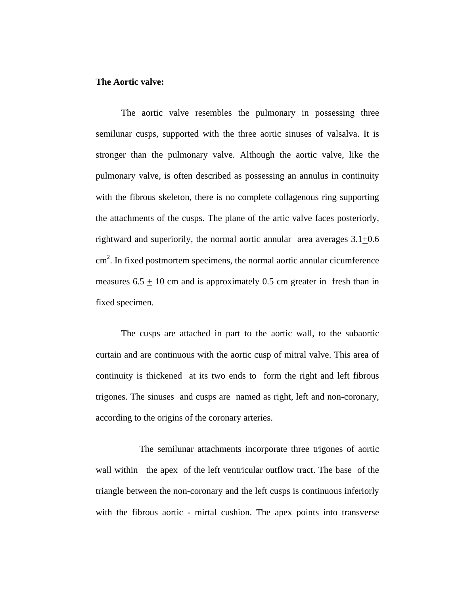### **The Aortic valve:**

 The aortic valve resembles the pulmonary in possessing three semilunar cusps, supported with the three aortic sinuses of valsalva. It is stronger than the pulmonary valve. Although the aortic valve, like the pulmonary valve, is often described as possessing an annulus in continuity with the fibrous skeleton, there is no complete collagenous ring supporting the attachments of the cusps. The plane of the artic valve faces posteriorly, rightward and superiorily, the normal aortic annular area averages 3.1+0.6 cm 2 . In fixed postmortem specimens, the normal aortic annular cicumference measures  $6.5 \pm 10$  cm and is approximately 0.5 cm greater in fresh than in fixed specimen.

 The cusps are attached in part to the aortic wall, to the subaortic curtain and are continuous with the aortic cusp of mitral valve. This area of continuity is thickened at its two ends to form the right and left fibrous trigones. The sinuses and cusps are named as right, left and non-coronary, according to the origins of the coronary arteries.

 The semilunar attachments incorporate three trigones of aortic wall within the apex of the left ventricular outflow tract. The base of the triangle between the non-coronary and the left cusps is continuous inferiorly with the fibrous aortic - mirtal cushion. The apex points into transverse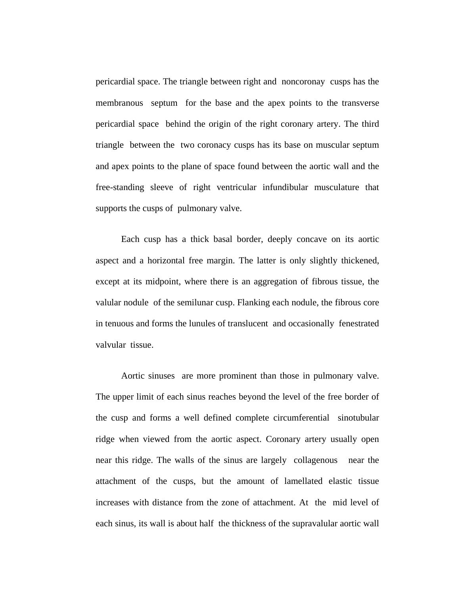pericardial space. The triangle between right and noncoronay cusps has the membranous septum for the base and the apex points to the transverse pericardial space behind the origin of the right coronary artery. The third triangle between the two coronacy cusps has its base on muscular septum and apex points to the plane of space found between the aortic wall and the free-standing sleeve of right ventricular infundibular musculature that supports the cusps of pulmonary valve.

 Each cusp has a thick basal border, deeply concave on its aortic aspect and a horizontal free margin. The latter is only slightly thickened, except at its midpoint, where there is an aggregation of fibrous tissue, the valular nodule of the semilunar cusp. Flanking each nodule, the fibrous core in tenuous and forms the lunules of translucent and occasionally fenestrated valvular tissue.

 Aortic sinuses are more prominent than those in pulmonary valve. The upper limit of each sinus reaches beyond the level of the free border of the cusp and forms a well defined complete circumferential sinotubular ridge when viewed from the aortic aspect. Coronary artery usually open near this ridge. The walls of the sinus are largely collagenous near the attachment of the cusps, but the amount of lamellated elastic tissue increases with distance from the zone of attachment. At the mid level of each sinus, its wall is about half the thickness of the supravalular aortic wall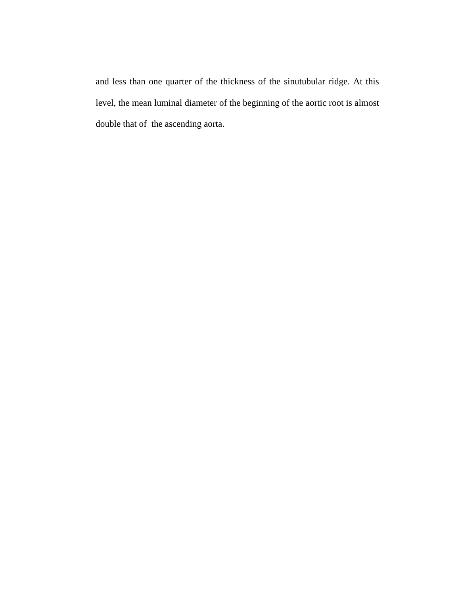and less than one quarter of the thickness of the sinutubular ridge. At this level, the mean luminal diameter of the beginning of the aortic root is almost double that of the ascending aorta.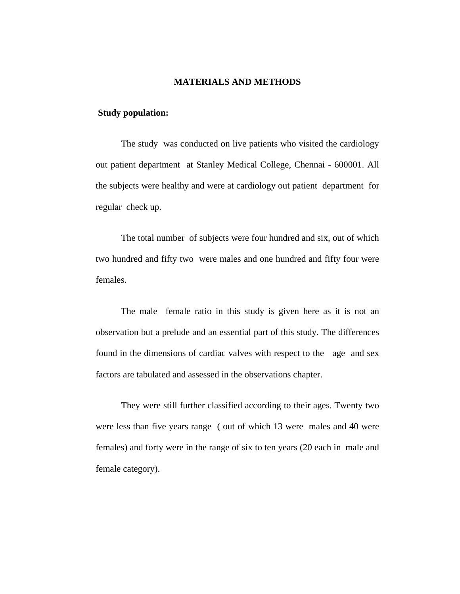#### **MATERIALS AND METHODS**

### **Study population:**

 The study was conducted on live patients who visited the cardiology out patient department at Stanley Medical College, Chennai - 600001. All the subjects were healthy and were at cardiology out patient department for regular check up.

 The total number of subjects were four hundred and six, out of which two hundred and fifty two were males and one hundred and fifty four were females.

 The male female ratio in this study is given here as it is not an observation but a prelude and an essential part of this study. The differences found in the dimensions of cardiac valves with respect to the age and sex factors are tabulated and assessed in the observations chapter.

 They were still further classified according to their ages. Twenty two were less than five years range ( out of which 13 were males and 40 were females) and forty were in the range of six to ten years (20 each in male and female category).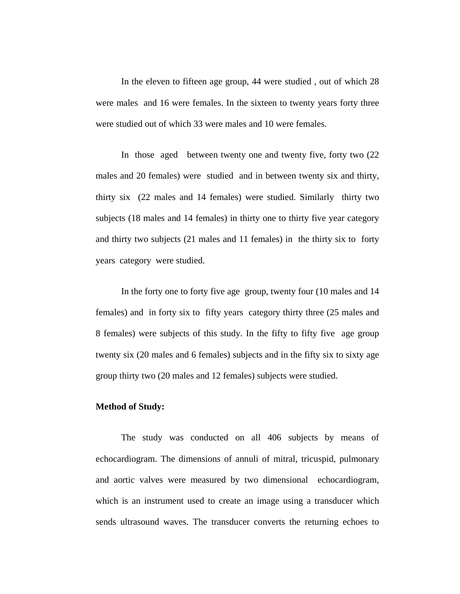In the eleven to fifteen age group, 44 were studied , out of which 28 were males and 16 were females. In the sixteen to twenty years forty three were studied out of which 33 were males and 10 were females.

 In those aged between twenty one and twenty five, forty two (22 males and 20 females) were studied and in between twenty six and thirty, thirty six (22 males and 14 females) were studied. Similarly thirty two subjects (18 males and 14 females) in thirty one to thirty five year category and thirty two subjects (21 males and 11 females) in the thirty six to forty years category were studied.

 In the forty one to forty five age group, twenty four (10 males and 14 females) and in forty six to fifty years category thirty three (25 males and 8 females) were subjects of this study. In the fifty to fifty five age group twenty six (20 males and 6 females) subjects and in the fifty six to sixty age group thirty two (20 males and 12 females) subjects were studied.

### **Method of Study:**

 The study was conducted on all 406 subjects by means of echocardiogram. The dimensions of annuli of mitral, tricuspid, pulmonary and aortic valves were measured by two dimensional echocardiogram, which is an instrument used to create an image using a transducer which sends ultrasound waves. The transducer converts the returning echoes to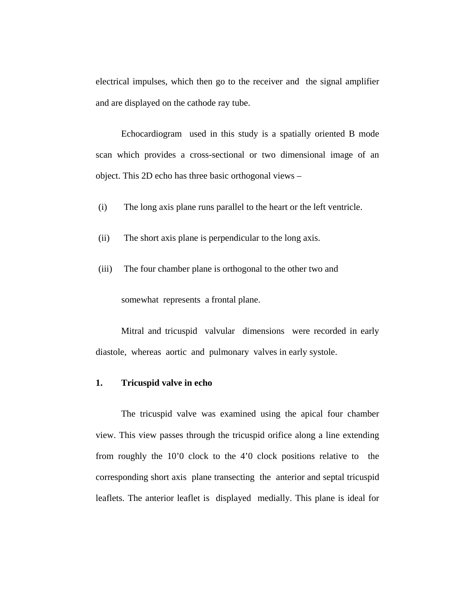electrical impulses, which then go to the receiver and the signal amplifier and are displayed on the cathode ray tube.

 Echocardiogram used in this study is a spatially oriented B mode scan which provides a cross-sectional or two dimensional image of an object. This 2D echo has three basic orthogonal views –

- (i) The long axis plane runs parallel to the heart or the left ventricle.
- (ii) The short axis plane is perpendicular to the long axis.
- (iii) The four chamber plane is orthogonal to the other two and

somewhat represents a frontal plane.

 Mitral and tricuspid valvular dimensions were recorded in early diastole, whereas aortic and pulmonary valves in early systole.

### **1. Tricuspid valve in echo**

 The tricuspid valve was examined using the apical four chamber view. This view passes through the tricuspid orifice along a line extending from roughly the 10'0 clock to the 4'0 clock positions relative to the corresponding short axis plane transecting the anterior and septal tricuspid leaflets. The anterior leaflet is displayed medially. This plane is ideal for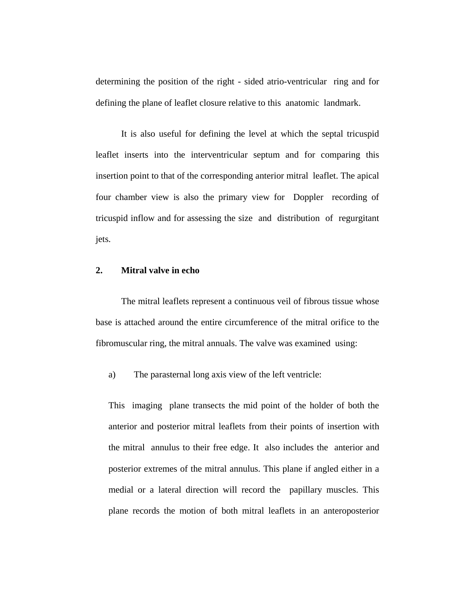determining the position of the right - sided atrio-ventricular ring and for defining the plane of leaflet closure relative to this anatomic landmark.

 It is also useful for defining the level at which the septal tricuspid leaflet inserts into the interventricular septum and for comparing this insertion point to that of the corresponding anterior mitral leaflet. The apical four chamber view is also the primary view for Doppler recording of tricuspid inflow and for assessing the size and distribution of regurgitant jets.

### **2. Mitral valve in echo**

 The mitral leaflets represent a continuous veil of fibrous tissue whose base is attached around the entire circumference of the mitral orifice to the fibromuscular ring, the mitral annuals. The valve was examined using:

a) The parasternal long axis view of the left ventricle:

This imaging plane transects the mid point of the holder of both the anterior and posterior mitral leaflets from their points of insertion with the mitral annulus to their free edge. It also includes the anterior and posterior extremes of the mitral annulus. This plane if angled either in a medial or a lateral direction will record the papillary muscles. This plane records the motion of both mitral leaflets in an anteroposterior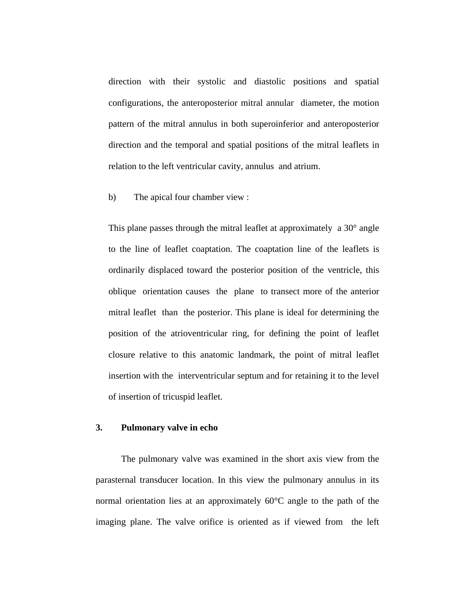direction with their systolic and diastolic positions and spatial configurations, the anteroposterior mitral annular diameter, the motion pattern of the mitral annulus in both superoinferior and anteroposterior direction and the temporal and spatial positions of the mitral leaflets in relation to the left ventricular cavity, annulus and atrium.

b) The apical four chamber view :

This plane passes through the mitral leaflet at approximately a 30° angle to the line of leaflet coaptation. The coaptation line of the leaflets is ordinarily displaced toward the posterior position of the ventricle, this oblique orientation causes the plane to transect more of the anterior mitral leaflet than the posterior. This plane is ideal for determining the position of the atrioventricular ring, for defining the point of leaflet closure relative to this anatomic landmark, the point of mitral leaflet insertion with the interventricular septum and for retaining it to the level of insertion of tricuspid leaflet.

#### **3. Pulmonary valve in echo**

The pulmonary valve was examined in the short axis view from the parasternal transducer location. In this view the pulmonary annulus in its normal orientation lies at an approximately  $60^{\circ}$ C angle to the path of the imaging plane. The valve orifice is oriented as if viewed from the left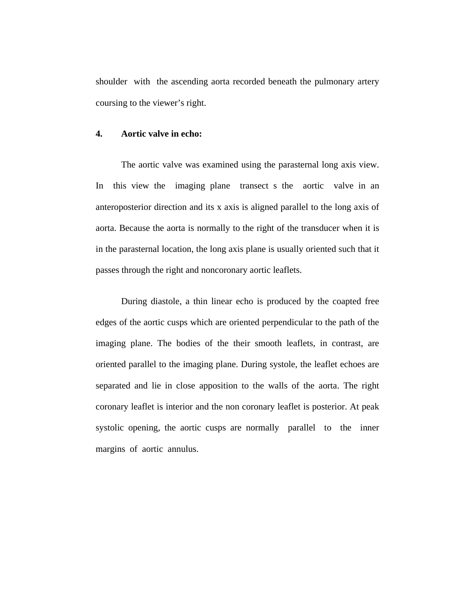shoulder with the ascending aorta recorded beneath the pulmonary artery coursing to the viewer's right.

### **4. Aortic valve in echo:**

 The aortic valve was examined using the parasternal long axis view. In this view the imaging plane transect s the aortic valve in an anteroposterior direction and its x axis is aligned parallel to the long axis of aorta. Because the aorta is normally to the right of the transducer when it is in the parasternal location, the long axis plane is usually oriented such that it passes through the right and noncoronary aortic leaflets.

 During diastole, a thin linear echo is produced by the coapted free edges of the aortic cusps which are oriented perpendicular to the path of the imaging plane. The bodies of the their smooth leaflets, in contrast, are oriented parallel to the imaging plane. During systole, the leaflet echoes are separated and lie in close apposition to the walls of the aorta. The right coronary leaflet is interior and the non coronary leaflet is posterior. At peak systolic opening, the aortic cusps are normally parallel to the inner margins of aortic annulus.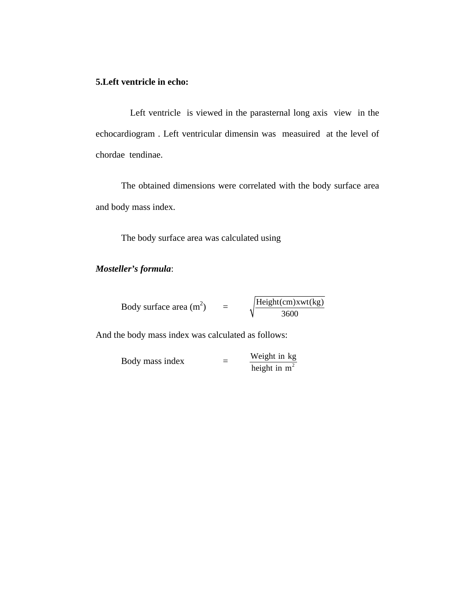### **5.Left ventricle in echo:**

Left ventricle is viewed in the parasternal long axis view in the echocardiogram . Left ventricular dimensin was measuired at the level of chordae tendinae.

 The obtained dimensions were correlated with the body surface area and body mass index.

The body surface area was calculated using

### *Mosteller's formula*:

| Body surface area $(m^2)$ | $H\left(\text{Cm}\right)$ Xwt $(kg)$ |
|---------------------------|--------------------------------------|
|                           | 3600                                 |

And the body mass index was calculated as follows:

Body mass index 
$$
= \frac{\text{Weight in kg}}{\text{height in m}^2}
$$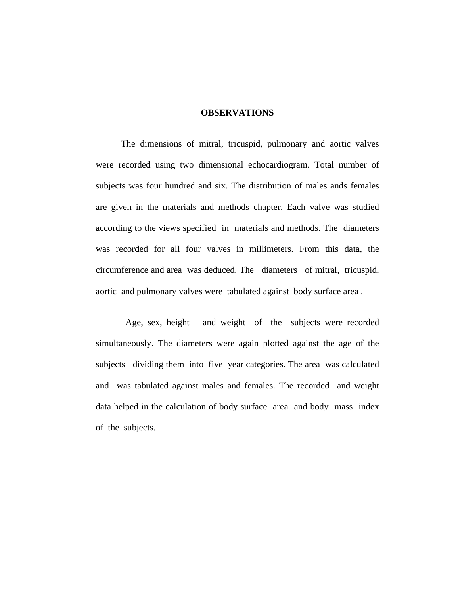### **OBSERVATIONS**

 The dimensions of mitral, tricuspid, pulmonary and aortic valves were recorded using two dimensional echocardiogram. Total number of subjects was four hundred and six. The distribution of males ands females are given in the materials and methods chapter. Each valve was studied according to the views specified in materials and methods. The diameters was recorded for all four valves in millimeters. From this data, the circumference and area was deduced. The diameters of mitral, tricuspid, aortic and pulmonary valves were tabulated against body surface area .

 Age, sex, height and weight of the subjects were recorded simultaneously. The diameters were again plotted against the age of the subjects dividing them into five year categories. The area was calculated and was tabulated against males and females. The recorded and weight data helped in the calculation of body surface area and body mass index of the subjects.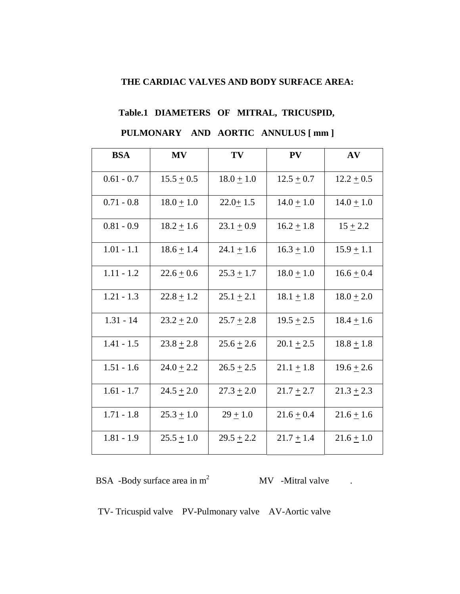### **THE CARDIAC VALVES AND BODY SURFACE AREA:**

## **Table.1 DIAMETERS OF MITRAL, TRICUSPID,**

### **PULMONARY AND AORTIC ANNULUS [ mm ]**

| <b>BSA</b>   | <b>MV</b>      | TV             | <b>PV</b>      | AV             |
|--------------|----------------|----------------|----------------|----------------|
| $0.61 - 0.7$ | $15.5 \pm 0.5$ | $18.0 \pm 1.0$ | $12.5 \pm 0.7$ | $12.2 \pm 0.5$ |
| $0.71 - 0.8$ | $18.0 + 1.0$   | $22.0 + 1.5$   | $14.0 + 1.0$   | $14.0 \pm 1.0$ |
| $0.81 - 0.9$ | $18.2 + 1.6$   | $23.1 \pm 0.9$ | $16.2 + 1.8$   | $15 + 2.2$     |
| $1.01 - 1.1$ | $18.6 \pm 1.4$ | $24.1 \pm 1.6$ | $16.3 + 1.0$   | $15.9 + 1.1$   |
| $1.11 - 1.2$ | $22.6 + 0.6$   | $25.3 \pm 1.7$ | $18.0 \pm 1.0$ | $16.6 + 0.4$   |
| $1.21 - 1.3$ | $22.8 + 1.2$   | $25.1 \pm 2.1$ | $18.1 + 1.8$   | $18.0 \pm 2.0$ |
| $1.31 - 14$  | $23.2 \pm 2.0$ | $25.7 + 2.8$   | $19.5 \pm 2.5$ | $18.4 + 1.6$   |
| $1.41 - 1.5$ | $23.8 + 2.8$   | $25.6 + 2.6$   | $20.1 + 2.5$   | $18.8 + 1.8$   |
| $1.51 - 1.6$ | $24.0 \pm 2.2$ | $26.5 \pm 2.5$ | $21.1 \pm 1.8$ | $19.6 \pm 2.6$ |
| $1.61 - 1.7$ | $24.5 \pm 2.0$ | $27.3 \pm 2.0$ | $21.7 \pm 2.7$ | $21.3 \pm 2.3$ |
| $1.71 - 1.8$ | $25.3 + 1.0$   | $29 + 1.0$     | $21.6 + 0.4$   | $21.6 + 1.6$   |
| $1.81 - 1.9$ | $25.5 + 1.0$   | $29.5 + 2.2$   | $21.7 + 1.4$   | $21.6 + 1.0$   |

BSA -Body surface area in  $m^2$  MV -Mitral valve .

TV- Tricuspid valve PV-Pulmonary valve AV-Aortic valve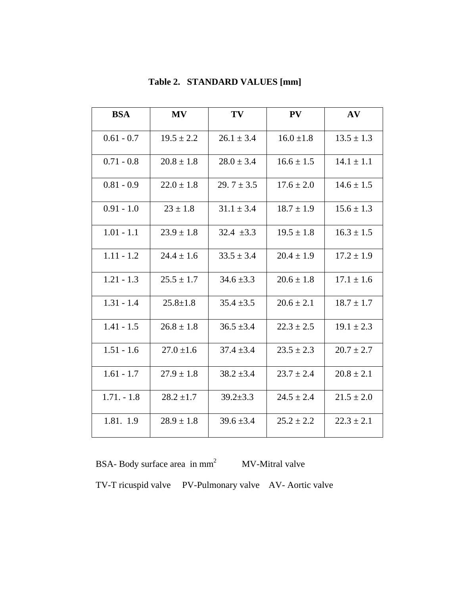| <b>BSA</b>   | <b>MV</b>      | TV              | PV             | AV             |
|--------------|----------------|-----------------|----------------|----------------|
| $0.61 - 0.7$ | $19.5 \pm 2.2$ | $26.1 \pm 3.4$  | $16.0 \pm 1.8$ | $13.5 \pm 1.3$ |
| $0.71 - 0.8$ | $20.8 \pm 1.8$ | $28.0 \pm 3.4$  | $16.6 \pm 1.5$ | $14.1 \pm 1.1$ |
| $0.81 - 0.9$ | $22.0 \pm 1.8$ | 29. $7 \pm 3.5$ | $17.6 \pm 2.0$ | $14.6 \pm 1.5$ |
| $0.91 - 1.0$ | $23 \pm 1.8$   | $31.1 \pm 3.4$  | $18.7 \pm 1.9$ | $15.6 \pm 1.3$ |
| $1.01 - 1.1$ | $23.9 \pm 1.8$ | $32.4 \pm 3.3$  | $19.5 \pm 1.8$ | $16.3 \pm 1.5$ |
| $1.11 - 1.2$ | $24.4 \pm 1.6$ | $33.5 \pm 3.4$  | $20.4 \pm 1.9$ | $17.2 \pm 1.9$ |
| $1.21 - 1.3$ | $25.5 \pm 1.7$ | $34.6 \pm 3.3$  | $20.6 \pm 1.8$ | $17.1 \pm 1.6$ |
| $1.31 - 1.4$ | $25.8 \pm 1.8$ | $35.4 \pm 3.5$  | $20.6 \pm 2.1$ | $18.7 \pm 1.7$ |
| $1.41 - 1.5$ | $26.8 \pm 1.8$ | $36.5 \pm 3.4$  | $22.3 \pm 2.5$ | $19.1 \pm 2.3$ |
| $1.51 - 1.6$ | $27.0 \pm 1.6$ | $37.4 \pm 3.4$  | $23.5 \pm 2.3$ | $20.7 \pm 2.7$ |
| $1.61 - 1.7$ | $27.9 \pm 1.8$ | $38.2 \pm 3.4$  | $23.7 \pm 2.4$ | $20.8 \pm 2.1$ |
| $1.71 - 1.8$ | $28.2 \pm 1.7$ | $39.2 \pm 3.3$  | $24.5 \pm 2.4$ | $21.5 \pm 2.0$ |
| 1.81. 1.9    | $28.9 \pm 1.8$ | $39.6 \pm 3.4$  | $25.2 \pm 2.2$ | $22.3 \pm 2.1$ |

### **Table 2. STANDARD VALUES [mm]**

BSA- Body surface area in  $mm^2$  MV-Mitral valve TV-T ricuspid valve PV-Pulmonary valve AV- Aortic valve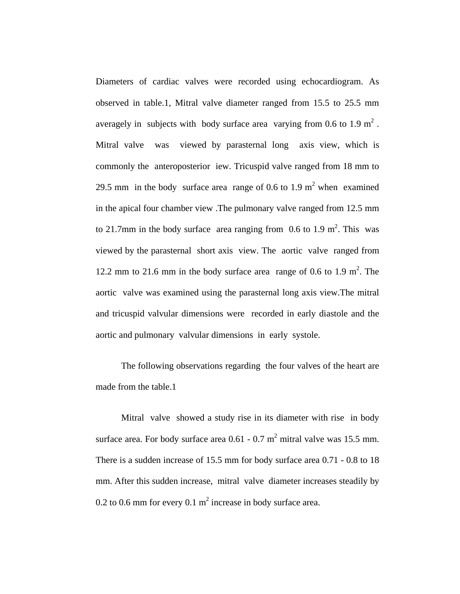Diameters of cardiac valves were recorded using echocardiogram. As observed in table.1, Mitral valve diameter ranged from 15.5 to 25.5 mm averagely in subjects with body surface area varying from 0.6 to 1.9  $m^2$ . Mitral valve was viewed by parasternal long axis view, which is commonly the anteroposterior iew. Tricuspid valve ranged from 18 mm to 29.5 mm in the body surface area range of 0.6 to 1.9  $m<sup>2</sup>$  when examined in the apical four chamber view .The pulmonary valve ranged from 12.5 mm to 21.7mm in the body surface area ranging from  $0.6$  to 1.9 m<sup>2</sup>. This was viewed by the parasternal short axis view. The aortic valve ranged from 12.2 mm to 21.6 mm in the body surface area range of 0.6 to 1.9 m<sup>2</sup>. The aortic valve was examined using the parasternal long axis view.The mitral and tricuspid valvular dimensions were recorded in early diastole and the aortic and pulmonary valvular dimensions in early systole.

The following observations regarding the four valves of the heart are made from the table.1

Mitral valve showed a study rise in its diameter with rise in body surface area. For body surface area  $0.61 - 0.7$  m<sup>2</sup> mitral valve was 15.5 mm. There is a sudden increase of 15.5 mm for body surface area 0.71 - 0.8 to 18 mm. After this sudden increase, mitral valve diameter increases steadily by 0.2 to 0.6 mm for every 0.1  $m^2$  increase in body surface area.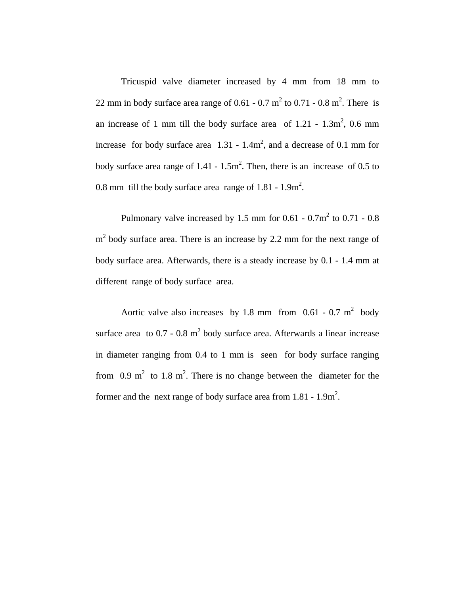Tricuspid valve diameter increased by 4 mm from 18 mm to 22 mm in body surface area range of 0.61 - 0.7  $m^2$  to 0.71 - 0.8  $m^2$ . There is an increase of 1 mm till the body surface area of  $1.21 - 1.3$ m<sup>2</sup>, 0.6 mm increase for body surface area  $1.31 - 1.4m^2$ , and a decrease of 0.1 mm for body surface area range of  $1.41 - 1.5$ m<sup>2</sup>. Then, there is an increase of 0.5 to 0.8 mm till the body surface area range of  $1.81 - 1.9$ m<sup>2</sup>.

Pulmonary valve increased by 1.5 mm for  $0.61 - 0.7m^2$  to  $0.71 - 0.8$  $m<sup>2</sup>$  body surface area. There is an increase by 2.2 mm for the next range of body surface area. Afterwards, there is a steady increase by 0.1 - 1.4 mm at different range of body surface area.

Aortic valve also increases by 1.8 mm from  $0.61 - 0.7$  m<sup>2</sup> body surface area to  $0.7 - 0.8$  m<sup>2</sup> body surface area. Afterwards a linear increase in diameter ranging from 0.4 to 1 mm is seen for body surface ranging from  $0.9 \text{ m}^2$  to  $1.8 \text{ m}^2$ . There is no change between the diameter for the former and the next range of body surface area from  $1.81 - 1.9$ m<sup>2</sup>.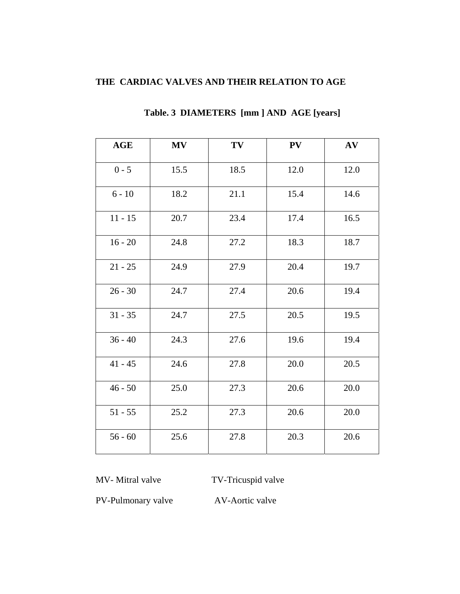### **THE CARDIAC VALVES AND THEIR RELATION TO AGE**

| <b>AGE</b> | <b>MV</b> | TV   | PV   | AV   |
|------------|-----------|------|------|------|
| $0 - 5$    | 15.5      | 18.5 | 12.0 | 12.0 |
| $6 - 10$   | 18.2      | 21.1 | 15.4 | 14.6 |
| $11 - 15$  | 20.7      | 23.4 | 17.4 | 16.5 |
| $16 - 20$  | 24.8      | 27.2 | 18.3 | 18.7 |
| $21 - 25$  | 24.9      | 27.9 | 20.4 | 19.7 |
| $26 - 30$  | 24.7      | 27.4 | 20.6 | 19.4 |
| $31 - 35$  | 24.7      | 27.5 | 20.5 | 19.5 |
| $36 - 40$  | 24.3      | 27.6 | 19.6 | 19.4 |
| $41 - 45$  | 24.6      | 27.8 | 20.0 | 20.5 |
| $46 - 50$  | 25.0      | 27.3 | 20.6 | 20.0 |
| $51 - 55$  | 25.2      | 27.3 | 20.6 | 20.0 |
| $56 - 60$  | 25.6      | 27.8 | 20.3 | 20.6 |

### **Table. 3 DIAMETERS [mm ] AND AGE [years]**

MV- Mitral valve TV-Tricuspid valve

PV-Pulmonary valve AV-Aortic valve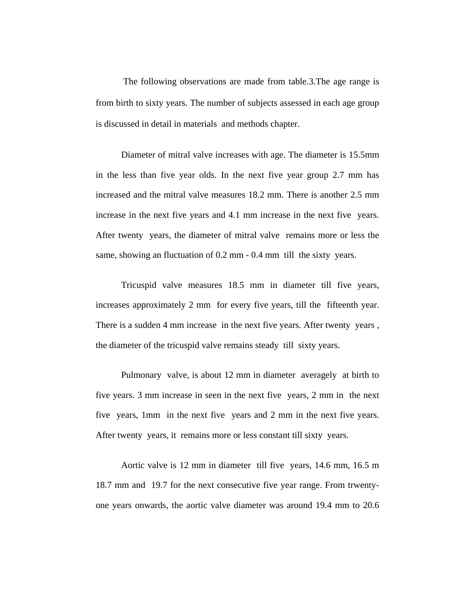The following observations are made from table.3.The age range is from birth to sixty years. The number of subjects assessed in each age group is discussed in detail in materials and methods chapter.

Diameter of mitral valve increases with age. The diameter is 15.5mm in the less than five year olds. In the next five year group 2.7 mm has increased and the mitral valve measures 18.2 mm. There is another 2.5 mm increase in the next five years and 4.1 mm increase in the next five years. After twenty years, the diameter of mitral valve remains more or less the same, showing an fluctuation of 0.2 mm - 0.4 mm till the sixty years.

Tricuspid valve measures 18.5 mm in diameter till five years, increases approximately 2 mm for every five years, till the fifteenth year. There is a sudden 4 mm increase in the next five years. After twenty years , the diameter of the tricuspid valve remains steady till sixty years.

Pulmonary valve, is about 12 mm in diameter averagely at birth to five years. 3 mm increase in seen in the next five years, 2 mm in the next five years, 1mm in the next five years and 2 mm in the next five years. After twenty years, it remains more or less constant till sixty years.

Aortic valve is 12 mm in diameter till five years, 14.6 mm, 16.5 m 18.7 mm and 19.7 for the next consecutive five year range. From trwentyone years onwards, the aortic valve diameter was around 19.4 mm to 20.6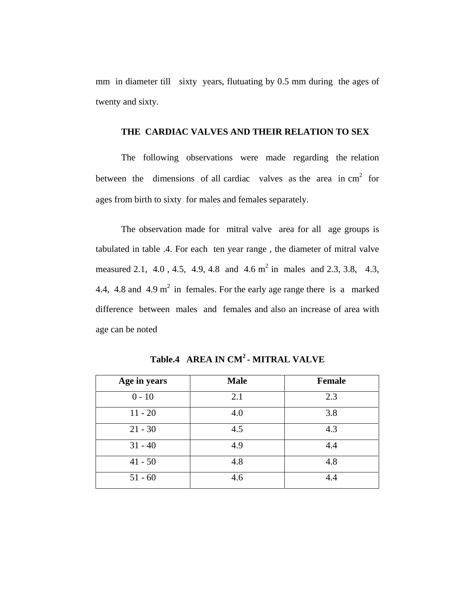mm in diameter till sixty years, flutuating by 0.5 mm during the ages of twenty and sixty.

### **THE CARDIAC VALVES AND THEIR RELATION TO SEX**

The following observations were made regarding the relation between the dimensions of all cardiac valves as the area in  $cm<sup>2</sup>$  for ages from birth to sixty for males and females separately.

The observation made for mitral valve area for all age groups is tabulated in table .4. For each ten year range , the diameter of mitral valve measured 2.1, 4.0, 4.5, 4.9, 4.8 and 4.6  $m^2$  in males and 2.3, 3.8, 4.3, 4.4, 4.8 and 4.9  $m^2$  in females. For the early age range there is a marked difference between males and females and also an increase of area with age can be noted

| Age in years | <b>Male</b> | <b>Female</b> |
|--------------|-------------|---------------|
| $0 - 10$     | 2.1         | 2.3           |
| $11 - 20$    | 4.0         | 3.8           |
| $21 - 30$    | 4.5         | 4.3           |
| $31 - 40$    | 4.9         | 4.4           |
| $41 - 50$    | 4.8         | 4.8           |
| $51 - 60$    | 4.6         | 4.4           |

**Table.4 AREA IN CM2 - MITRAL VALVE**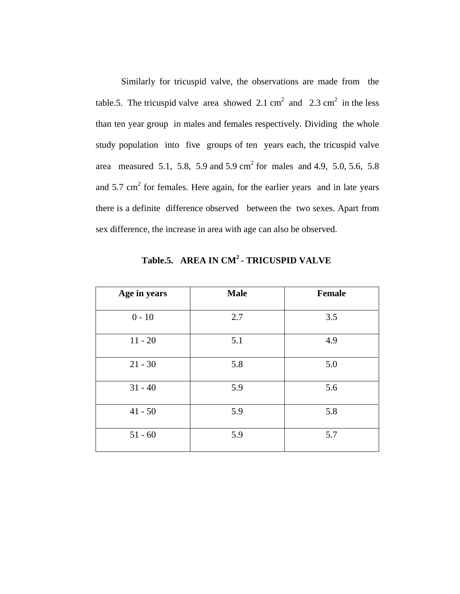Similarly for tricuspid valve, the observations are made from the table.5. The tricuspid valve area showed 2.1 cm<sup>2</sup> and 2.3 cm<sup>2</sup> in the less than ten year group in males and females respectively. Dividing the whole study population into five groups of ten years each, the tricuspid valve area measured 5.1, 5.8, 5.9 and 5.9 cm<sup>2</sup> for males and 4.9, 5.0, 5.6, 5.8 and  $5.7 \text{ cm}^2$  for females. Here again, for the earlier years and in late years there is a definite difference observed between the two sexes. Apart from sex difference, the increase in area with age can also be observed.

| Age in years | <b>Male</b> | <b>Female</b> |
|--------------|-------------|---------------|
| $0 - 10$     | 2.7         | 3.5           |
| $11 - 20$    | 5.1         | 4.9           |
| $21 - 30$    | 5.8         | 5.0           |
| $31 - 40$    | 5.9         | 5.6           |
| $41 - 50$    | 5.9         | 5.8           |
| $51 - 60$    | 5.9         | 5.7           |

 **Table.5. AREA IN CM2 - TRICUSPID VALVE**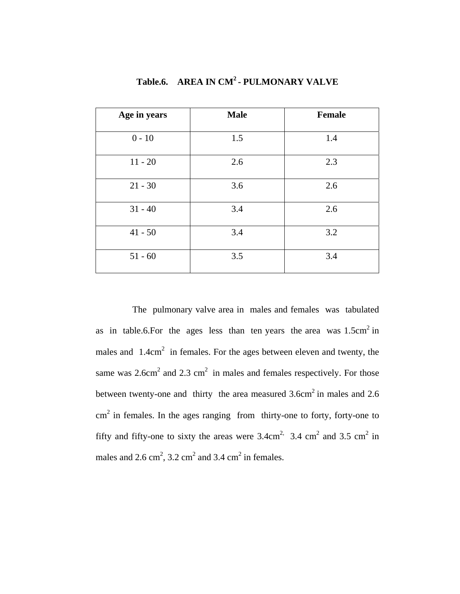| Age in years | <b>Male</b> | <b>Female</b> |
|--------------|-------------|---------------|
| $0 - 10$     | 1.5         | 1.4           |
| $11 - 20$    | 2.6         | 2.3           |
| $21 - 30$    | 3.6         | 2.6           |
| $31 - 40$    | 3.4         | 2.6           |
| $41 - 50$    | 3.4         | 3.2           |
| $51 - 60$    | 3.5         | 3.4           |

**Table.6. AREA IN CM2 - PULMONARY VALVE** 

 The pulmonary valve area in males and females was tabulated as in table.6. For the ages less than ten years the area was  $1.5 \text{cm}^2$  in males and  $1.4 \text{cm}^2$  in females. For the ages between eleven and twenty, the same was  $2.6 \text{cm}^2$  and  $2.3 \text{cm}^2$  in males and females respectively. For those between twenty-one and thirty the area measured  $3.6 \text{cm}^2$  in males and  $2.6$  $\text{cm}^2$  in females. In the ages ranging from thirty-one to forty, forty-one to fifty and fifty-one to sixty the areas were  $3.4 \text{ cm}^2$ ,  $3.4 \text{ cm}^2$  and  $3.5 \text{ cm}^2$  in males and  $2.6 \text{ cm}^2$ ,  $3.2 \text{ cm}^2$  and  $3.4 \text{ cm}^2$  in females.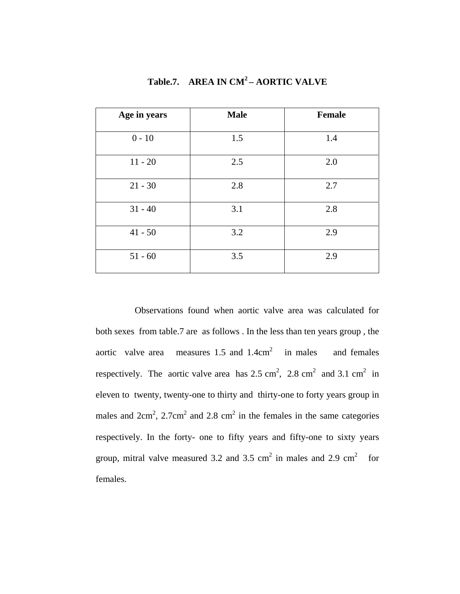| Age in years | <b>Male</b> | <b>Female</b> |
|--------------|-------------|---------------|
| $0 - 10$     | 1.5         | 1.4           |
| $11 - 20$    | 2.5         | 2.0           |
| $21 - 30$    | 2.8         | 2.7           |
| $31 - 40$    | 3.1         | 2.8           |
| $41 - 50$    | 3.2         | 2.9           |
| $51 - 60$    | 3.5         | 2.9           |

**Table.7. AREA IN CM2 – AORTIC VALVE** 

 Observations found when aortic valve area was calculated for both sexes from table.7 are as follows . In the less than ten years group , the aortic valve area measures 1.5 and  $1.4 \text{cm}^2$  in males and females respectively. The aortic valve area has  $2.5 \text{ cm}^2$ ,  $2.8 \text{ cm}^2$  and  $3.1 \text{ cm}^2$  in eleven to twenty, twenty-one to thirty and thirty-one to forty years group in males and  $2 \text{cm}^2$ ,  $2.7 \text{cm}^2$  and  $2.8 \text{cm}^2$  in the females in the same categories respectively. In the forty- one to fifty years and fifty-one to sixty years group, mitral valve measured 3.2 and 3.5 cm<sup>2</sup> in males and 2.9 cm<sup>2</sup> for females.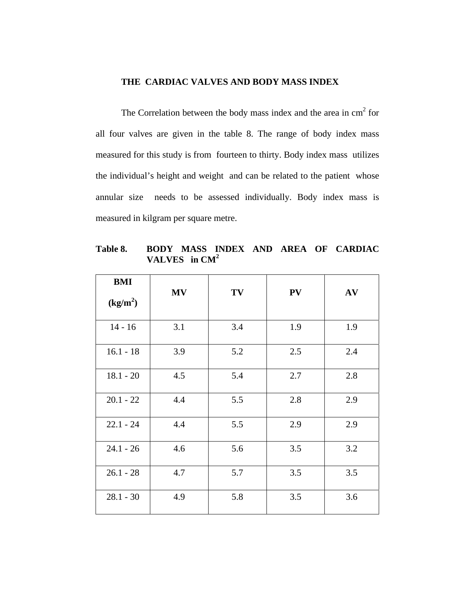### **THE CARDIAC VALVES AND BODY MASS INDEX**

The Correlation between the body mass index and the area in  $cm<sup>2</sup>$  for all four valves are given in the table 8. The range of body index mass measured for this study is from fourteen to thirty. Body index mass utilizes the individual's height and weight and can be related to the patient whose annular size needs to be assessed individually. Body index mass is measured in kilgram per square metre.

**Table 8. BODY MASS INDEX AND AREA OF CARDIAC VALVES in CM<sup>2</sup>**

| <b>BMI</b><br>(kg/m <sup>2</sup> ) | <b>MV</b> | TV  | PV  | AV  |
|------------------------------------|-----------|-----|-----|-----|
| $14 - 16$                          | 3.1       | 3.4 | 1.9 | 1.9 |
| $16.1 - 18$                        | 3.9       | 5.2 | 2.5 | 2.4 |
| $18.1 - 20$                        | 4.5       | 5.4 | 2.7 | 2.8 |
| $20.1 - 22$                        | 4.4       | 5.5 | 2.8 | 2.9 |
| $22.1 - 24$                        | 4.4       | 5.5 | 2.9 | 2.9 |
| $24.1 - 26$                        | 4.6       | 5.6 | 3.5 | 3.2 |
| $26.1 - 28$                        | 4.7       | 5.7 | 3.5 | 3.5 |
| $28.1 - 30$                        | 4.9       | 5.8 | 3.5 | 3.6 |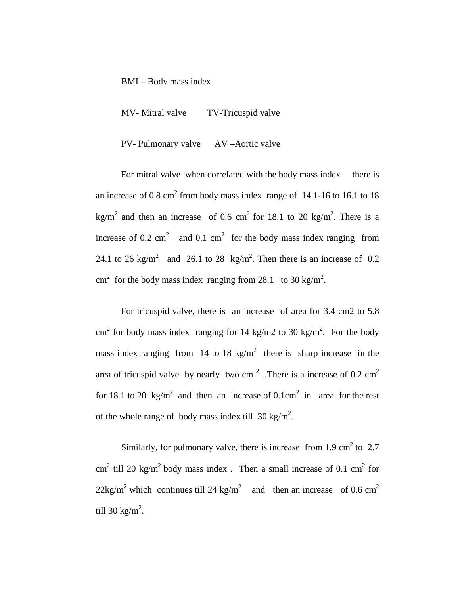BMI – Body mass index

MV- Mitral valve TV-Tricuspid valve

PV- Pulmonary valve AV –Aortic valve

For mitral valve when correlated with the body mass index there is an increase of 0.8 cm<sup>2</sup> from body mass index range of 14.1-16 to 16.1 to 18 kg/m<sup>2</sup> and then an increase of 0.6 cm<sup>2</sup> for 18.1 to 20 kg/m<sup>2</sup>. There is a increase of 0.2 cm<sup>2</sup> and 0.1 cm<sup>2</sup> for the body mass index ranging from 24.1 to 26 kg/m<sup>2</sup> and 26.1 to 28 kg/m<sup>2</sup>. Then there is an increase of 0.2 cm<sup>2</sup> for the body mass index ranging from 28.1 to 30 kg/m<sup>2</sup>.

For tricuspid valve, there is an increase of area for 3.4 cm2 to 5.8 cm<sup>2</sup> for body mass index ranging for 14 kg/m2 to 30 kg/m<sup>2</sup>. For the body mass index ranging from 14 to 18 kg/m<sup>2</sup> there is sharp increase in the area of tricuspid valve by nearly two cm<sup>2</sup>. There is a increase of 0.2 cm<sup>2</sup> for 18.1 to 20 kg/m<sup>2</sup> and then an increase of  $0.1 \text{cm}^2$  in area for the rest of the whole range of body mass index till  $30 \text{ kg/m}^2$ .

Similarly, for pulmonary valve, there is increase from 1.9 cm<sup>2</sup> to 2.7 cm<sup>2</sup> till 20 kg/m<sup>2</sup> body mass index. Then a small increase of 0.1 cm<sup>2</sup> for  $22\text{kg/m}^2$  which continues till 24 kg/m<sup>2</sup> and then an increase of 0.6 cm<sup>2</sup> till 30 kg/m<sup>2</sup>.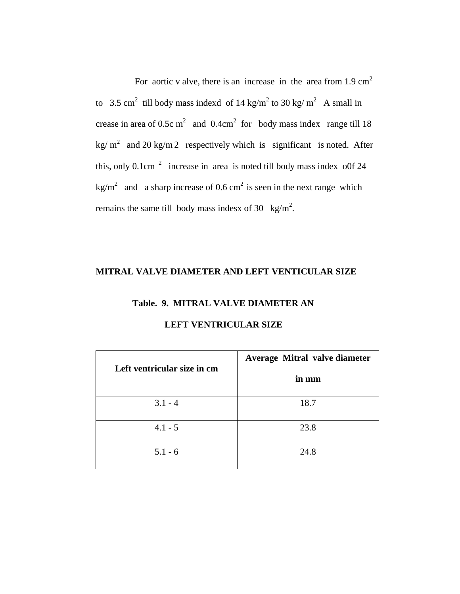For aortic v alve, there is an increase in the area from  $1.9 \text{ cm}^2$ to 3.5 cm<sup>2</sup> till body mass indexd of 14 kg/m<sup>2</sup> to 30 kg/m<sup>2</sup> A small in crease in area of 0.5c m<sup>2</sup> and 0.4cm<sup>2</sup> for body mass index range till 18 kg/m<sup>2</sup> and 20 kg/m 2 respectively which is significant is noted. After this, only 0.1cm  $2\degree$  increase in area is noted till body mass index o0f 24 kg/m<sup>2</sup> and a sharp increase of 0.6 cm<sup>2</sup> is seen in the next range which remains the same till body mass indesx of 30  $\text{kg/m}^2$ .

### **MITRAL VALVE DIAMETER AND LEFT VENTICULAR SIZE**

# **Table. 9. MITRAL VALVE DIAMETER AN LEFT VENTRICULAR SIZE**

| Left ventricular size in cm | Average Mitral valve diameter<br>in mm |
|-----------------------------|----------------------------------------|
| $3.1 - 4$                   | 18.7                                   |
| $4.1 - 5$                   | 23.8                                   |
| $5.1 - 6$                   | 24.8                                   |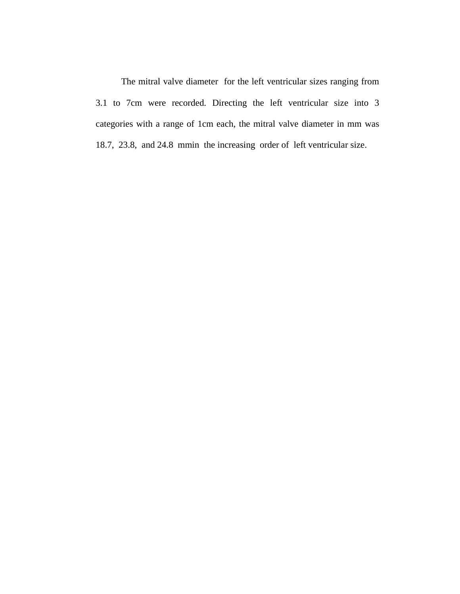The mitral valve diameter for the left ventricular sizes ranging from 3.1 to 7cm were recorded. Directing the left ventricular size into 3 categories with a range of 1cm each, the mitral valve diameter in mm was 18.7, 23.8, and 24.8 mmin the increasing order of left ventricular size.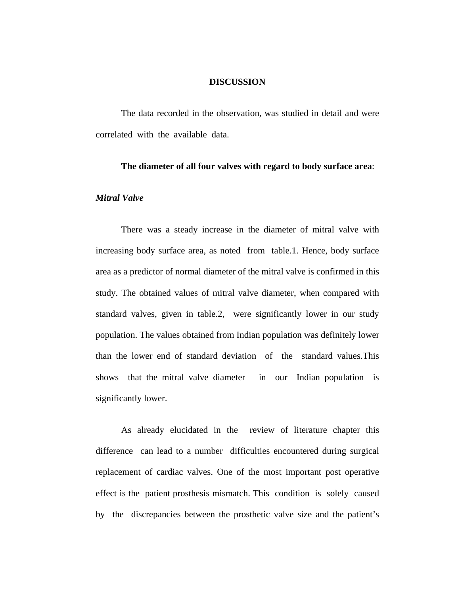### **DISCUSSION**

The data recorded in the observation, was studied in detail and were correlated with the available data.

### **The diameter of all four valves with regard to body surface area**:

### *Mitral Valve*

There was a steady increase in the diameter of mitral valve with increasing body surface area, as noted from table.1. Hence, body surface area as a predictor of normal diameter of the mitral valve is confirmed in this study. The obtained values of mitral valve diameter, when compared with standard valves, given in table.2, were significantly lower in our study population. The values obtained from Indian population was definitely lower than the lower end of standard deviation of the standard values.This shows that the mitral valve diameter in our Indian population is significantly lower.

As already elucidated in the review of literature chapter this difference can lead to a number difficulties encountered during surgical replacement of cardiac valves. One of the most important post operative effect is the patient prosthesis mismatch. This condition is solely caused by the discrepancies between the prosthetic valve size and the patient's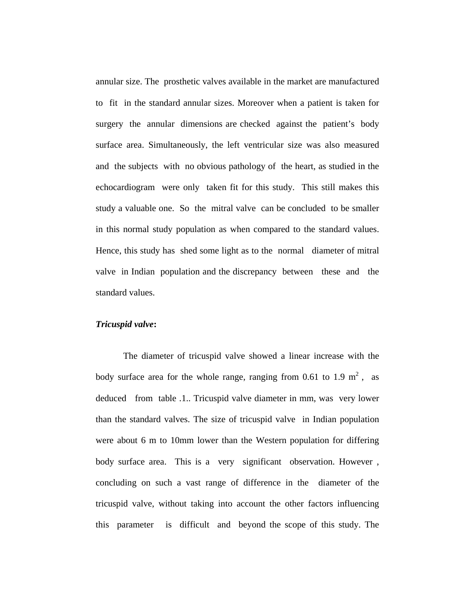annular size. The prosthetic valves available in the market are manufactured to fit in the standard annular sizes. Moreover when a patient is taken for surgery the annular dimensions are checked against the patient's body surface area. Simultaneously, the left ventricular size was also measured and the subjects with no obvious pathology of the heart, as studied in the echocardiogram were only taken fit for this study. This still makes this study a valuable one. So the mitral valve can be concluded to be smaller in this normal study population as when compared to the standard values. Hence, this study has shed some light as to the normal diameter of mitral valve in Indian population and the discrepancy between these and the standard values.

#### *Tricuspid valve***:**

 The diameter of tricuspid valve showed a linear increase with the body surface area for the whole range, ranging from 0.61 to 1.9  $m^2$ , as deduced from table .1.. Tricuspid valve diameter in mm, was very lower than the standard valves. The size of tricuspid valve in Indian population were about 6 m to 10mm lower than the Western population for differing body surface area. This is a very significant observation. However , concluding on such a vast range of difference in the diameter of the tricuspid valve, without taking into account the other factors influencing this parameter is difficult and beyond the scope of this study. The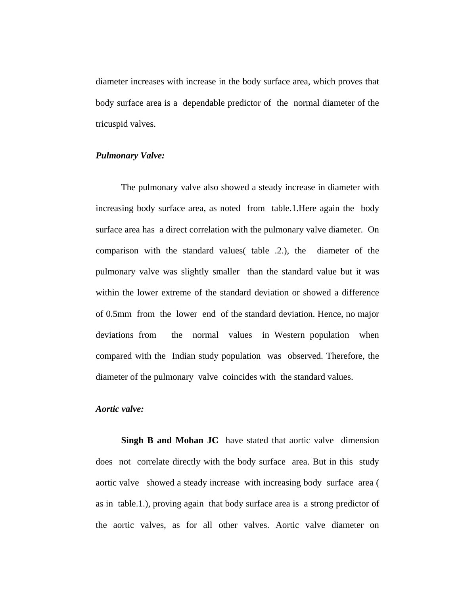diameter increases with increase in the body surface area, which proves that body surface area is a dependable predictor of the normal diameter of the tricuspid valves.

### *Pulmonary Valve:*

The pulmonary valve also showed a steady increase in diameter with increasing body surface area, as noted from table.1.Here again the body surface area has a direct correlation with the pulmonary valve diameter. On comparison with the standard values( table .2.), the diameter of the pulmonary valve was slightly smaller than the standard value but it was within the lower extreme of the standard deviation or showed a difference of 0.5mm from the lower end of the standard deviation. Hence, no major deviations from the normal values in Western population when compared with the Indian study population was observed. Therefore, the diameter of the pulmonary valve coincides with the standard values.

### *Aortic valve:*

**Singh B and Mohan JC** have stated that aortic valve dimension does not correlate directly with the body surface area. But in this study aortic valve showed a steady increase with increasing body surface area ( as in table.1.), proving again that body surface area is a strong predictor of the aortic valves, as for all other valves. Aortic valve diameter on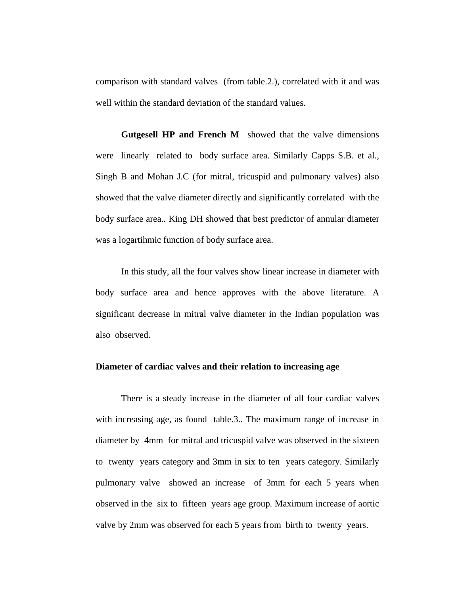comparison with standard valves (from table.2.), correlated with it and was well within the standard deviation of the standard values.

**Gutgesell HP and French M** showed that the valve dimensions were linearly related to body surface area. Similarly Capps S.B. et al., Singh B and Mohan J.C (for mitral, tricuspid and pulmonary valves) also showed that the valve diameter directly and significantly correlated with the body surface area.. King DH showed that best predictor of annular diameter was a logartihmic function of body surface area.

In this study, all the four valves show linear increase in diameter with body surface area and hence approves with the above literature. A significant decrease in mitral valve diameter in the Indian population was also observed.

### **Diameter of cardiac valves and their relation to increasing age**

There is a steady increase in the diameter of all four cardiac valves with increasing age, as found table.3.. The maximum range of increase in diameter by 4mm for mitral and tricuspid valve was observed in the sixteen to twenty years category and 3mm in six to ten years category. Similarly pulmonary valve showed an increase of 3mm for each 5 years when observed in the six to fifteen years age group. Maximum increase of aortic valve by 2mm was observed for each 5 years from birth to twenty years.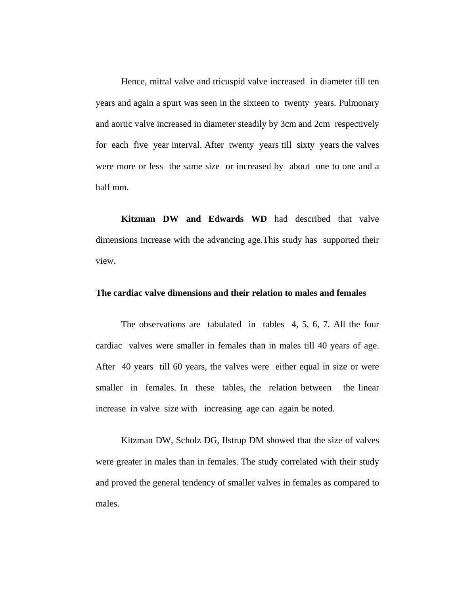Hence, mitral valve and tricuspid valve increased in diameter till ten years and again a spurt was seen in the sixteen to twenty years. Pulmonary and aortic valve increased in diameter steadily by 3cm and 2cm respectively for each five year interval. After twenty years till sixty years the valves were more or less the same size or increased by about one to one and a half mm.

**Kitzman DW and Edwards WD** had described that valve dimensions increase with the advancing age.This study has supported their view.

### **The cardiac valve dimensions and their relation to males and females**

The observations are tabulated in tables 4, 5, 6, 7. All the four cardiac valves were smaller in females than in males till 40 years of age. After 40 years till 60 years, the valves were either equal in size or were smaller in females. In these tables, the relation between the linear increase in valve size with increasing age can again be noted.

Kitzman DW, Scholz DG, Ilstrup DM showed that the size of valves were greater in males than in females. The study correlated with their study and proved the general tendency of smaller valves in females as compared to males.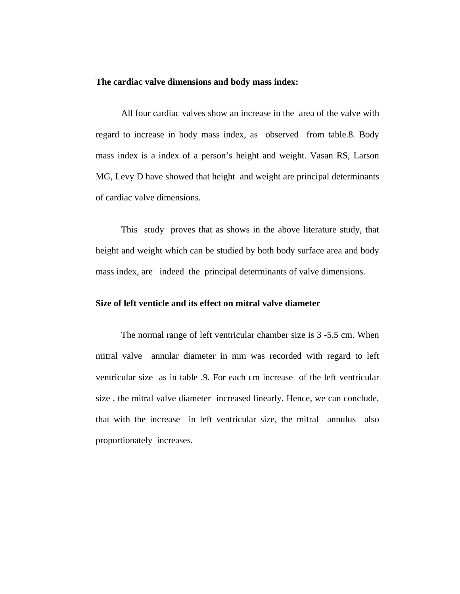#### **The cardiac valve dimensions and body mass index:**

All four cardiac valves show an increase in the area of the valve with regard to increase in body mass index, as observed from table.8. Body mass index is a index of a person's height and weight. Vasan RS, Larson MG, Levy D have showed that height and weight are principal determinants of cardiac valve dimensions.

This study proves that as shows in the above literature study, that height and weight which can be studied by both body surface area and body mass index, are indeed the principal determinants of valve dimensions.

### **Size of left venticle and its effect on mitral valve diameter**

The normal range of left ventricular chamber size is 3 -5.5 cm. When mitral valve annular diameter in mm was recorded with regard to left ventricular size as in table .9. For each cm increase of the left ventricular size , the mitral valve diameter increased linearly. Hence, we can conclude, that with the increase in left ventricular size, the mitral annulus also proportionately increases.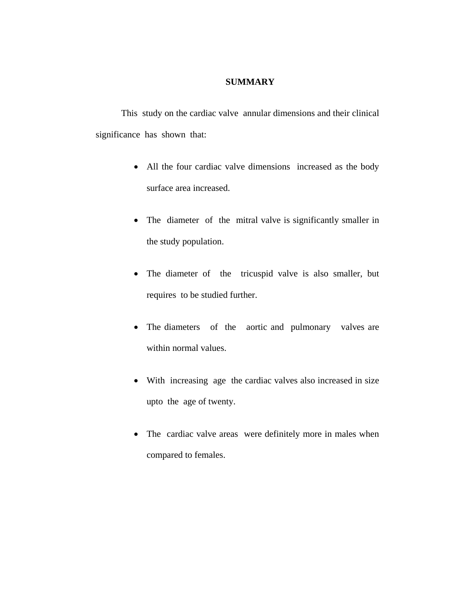### **SUMMARY**

This study on the cardiac valve annular dimensions and their clinical significance has shown that:

- All the four cardiac valve dimensions increased as the body surface area increased.
- The diameter of the mitral valve is significantly smaller in the study population.
- The diameter of the tricuspid valve is also smaller, but requires to be studied further.
- The diameters of the aortic and pulmonary valves are within normal values.
- With increasing age the cardiac valves also increased in size upto the age of twenty.
- The cardiac valve areas were definitely more in males when compared to females.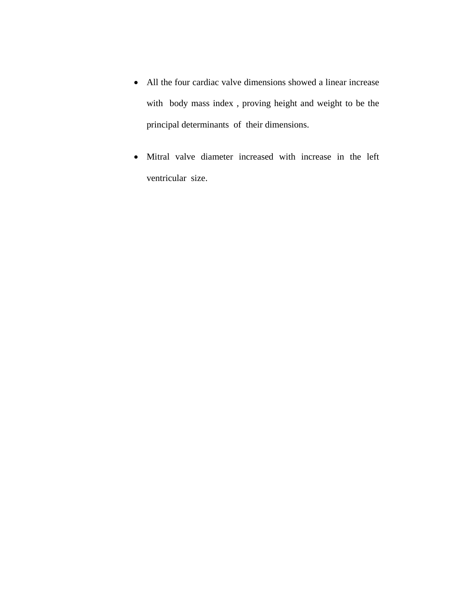- All the four cardiac valve dimensions showed a linear increase with body mass index , proving height and weight to be the principal determinants of their dimensions.
- Mitral valve diameter increased with increase in the left ventricular size.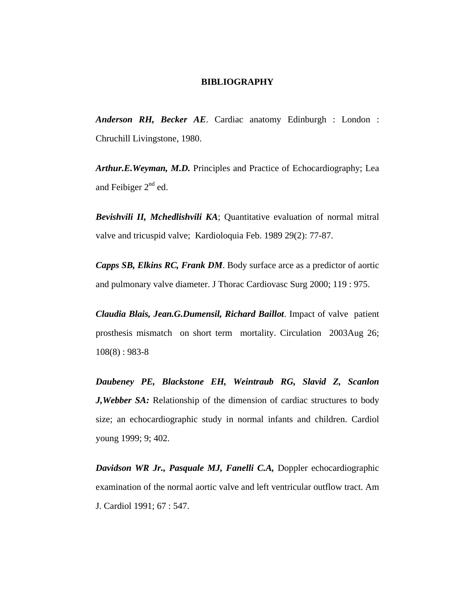#### **BIBLIOGRAPHY**

*Anderson RH, Becker AE*. Cardiac anatomy Edinburgh : London : Chruchill Livingstone, 1980.

*Arthur.E.Weyman, M.D.* Principles and Practice of Echocardiography; Lea and Feibiger  $2<sup>nd</sup>$  ed.

*Bevishvili II, Mchedlishvili KA*; Quantitative evaluation of normal mitral valve and tricuspid valve; Kardioloquia Feb. 1989 29(2): 77-87.

*Capps SB, Elkins RC, Frank DM*. Body surface arce as a predictor of aortic and pulmonary valve diameter. J Thorac Cardiovasc Surg 2000; 119 : 975.

*Claudia Blais, Jean.G.Dumensil, Richard Baillot*. Impact of valve patient prosthesis mismatch on short term mortality. Circulation 2003Aug 26; 108(8) : 983-8

*Daubeney PE, Blackstone EH, Weintraub RG, Slavid Z, Scanlon J,Webber SA:* Relationship of the dimension of cardiac structures to body size; an echocardiographic study in normal infants and children. Cardiol young 1999; 9; 402.

*Davidson WR Jr., Pasquale MJ, Fanelli C.A,* Doppler echocardiographic examination of the normal aortic valve and left ventricular outflow tract. Am J. Cardiol 1991; 67 : 547.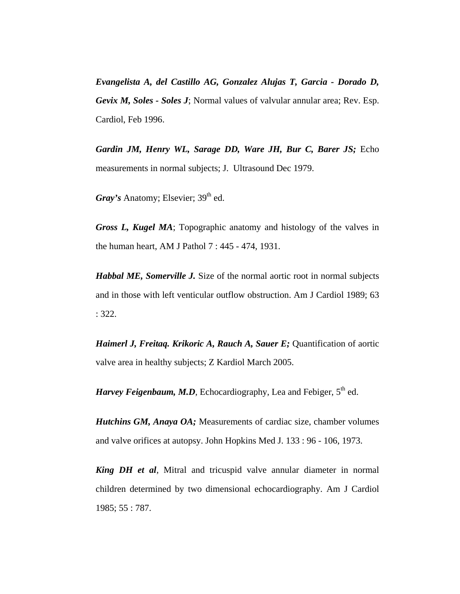*Evangelista A, del Castillo AG, Gonzalez Alujas T, Garcia - Dorado D, Gevix M, Soles - Soles J*; Normal values of valvular annular area; Rev. Esp. Cardiol, Feb 1996.

*Gardin JM, Henry WL, Sarage DD, Ware JH, Bur C, Barer JS;* Echo measurements in normal subjects; J. Ultrasound Dec 1979.

*Gray's* Anatomy; Elsevier; 39<sup>th</sup> ed.

*Gross L, Kugel MA*; Topographic anatomy and histology of the valves in the human heart, AM J Pathol 7 : 445 - 474, 1931.

*Habbal ME, Somerville J.* Size of the normal aortic root in normal subjects and in those with left venticular outflow obstruction. Am J Cardiol 1989; 63 : 322.

*Haimerl J, Freitaq. Krikoric A, Rauch A, Sauer E;* Quantification of aortic valve area in healthy subjects; Z Kardiol March 2005.

*Harvey Feigenbaum, M.D*, Echocardiography, Lea and Febiger, 5<sup>th</sup> ed.

*Hutchins GM, Anaya OA;* Measurements of cardiac size, chamber volumes and valve orifices at autopsy. John Hopkins Med J. 133 : 96 - 106, 1973.

*King DH et al*, Mitral and tricuspid valve annular diameter in normal children determined by two dimensional echocardiography. Am J Cardiol 1985; 55 : 787.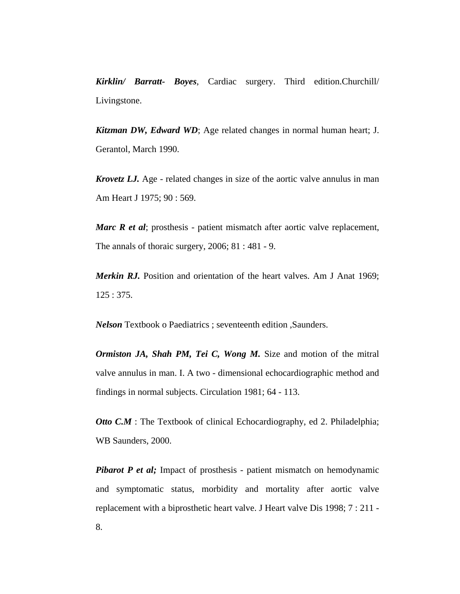*Kirklin/ Barratt- Boyes*, Cardiac surgery. Third edition.Churchill/ Livingstone.

*Kitzman DW, Edward WD*; Age related changes in normal human heart; J. Gerantol, March 1990.

*Krovetz LJ.* Age - related changes in size of the aortic valve annulus in man Am Heart J 1975; 90 : 569.

*Marc R et al*; prosthesis - patient mismatch after aortic valve replacement, The annals of thoraic surgery, 2006; 81 : 481 - 9.

*Merkin RJ.* Position and orientation of the heart valves. Am J Anat 1969; 125 : 375.

*Nelson* Textbook o Paediatrics ; seventeenth edition ,Saunders.

*Ormiston JA, Shah PM, Tei C, Wong M.* Size and motion of the mitral valve annulus in man. I. A two - dimensional echocardiographic method and findings in normal subjects. Circulation 1981; 64 - 113.

*Otto C.M*: The Textbook of clinical Echocardiography, ed 2. Philadelphia; WB Saunders, 2000.

*Pibarot P et al;* Impact of prosthesis - patient mismatch on hemodynamic and symptomatic status, morbidity and mortality after aortic valve replacement with a biprosthetic heart valve. J Heart valve Dis 1998; 7 : 211 - 8.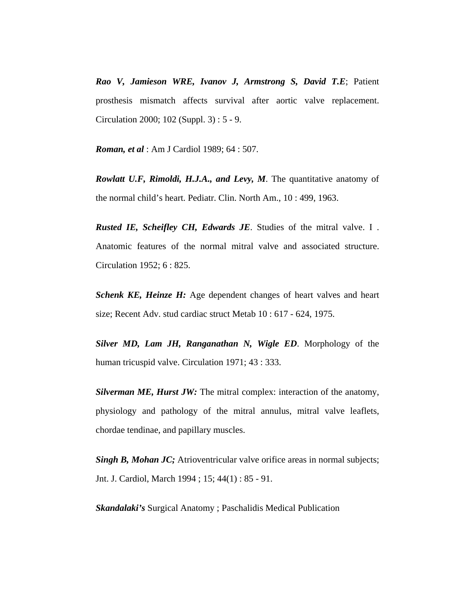*Rao V, Jamieson WRE, Ivanov J, Armstrong S, David T.E*; Patient prosthesis mismatch affects survival after aortic valve replacement. Circulation 2000; 102 (Suppl. 3) : 5 - 9.

*Roman, et al* : Am J Cardiol 1989; 64 : 507.

*Rowlatt U.F, Rimoldi, H.J.A., and Levy, M*. The quantitative anatomy of the normal child's heart. Pediatr. Clin. North Am., 10 : 499, 1963.

*Rusted IE, Scheifley CH, Edwards JE*. Studies of the mitral valve. I . Anatomic features of the normal mitral valve and associated structure. Circulation 1952; 6 : 825.

*Schenk KE, Heinze H:* Age dependent changes of heart valves and heart size; Recent Adv. stud cardiac struct Metab 10 : 617 - 624, 1975.

*Silver MD, Lam JH, Ranganathan N, Wigle ED*. Morphology of the human tricuspid valve. Circulation 1971; 43 : 333.

*Silverman ME, Hurst JW:* The mitral complex: interaction of the anatomy, physiology and pathology of the mitral annulus, mitral valve leaflets, chordae tendinae, and papillary muscles.

*Singh B, Mohan JC;* Atrioventricular valve orifice areas in normal subjects; Jnt. J. Cardiol, March 1994 ; 15; 44(1) : 85 - 91.

*Skandalaki's* Surgical Anatomy ; Paschalidis Medical Publication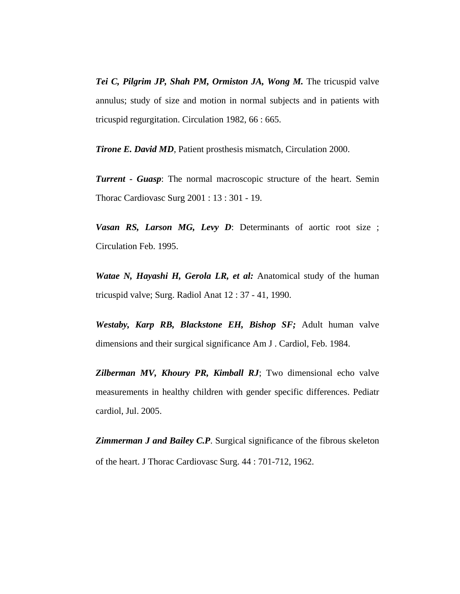*Tei C, Pilgrim JP, Shah PM, Ormiston JA, Wong M.* The tricuspid valve annulus; study of size and motion in normal subjects and in patients with tricuspid regurgitation. Circulation 1982, 66 : 665.

*Tirone E. David MD*, Patient prosthesis mismatch, Circulation 2000.

*Turrent - Guasp*: The normal macroscopic structure of the heart. Semin Thorac Cardiovasc Surg 2001 : 13 : 301 - 19.

*Vasan RS, Larson MG, Levy D*: Determinants of aortic root size ; Circulation Feb. 1995.

*Watae N, Hayashi H, Gerola LR, et al:* Anatomical study of the human tricuspid valve; Surg. Radiol Anat 12 : 37 - 41, 1990.

*Westaby, Karp RB, Blackstone EH, Bishop SF;* Adult human valve dimensions and their surgical significance Am J . Cardiol, Feb. 1984.

*Zilberman MV, Khoury PR, Kimball RJ*; Two dimensional echo valve measurements in healthy children with gender specific differences. Pediatr cardiol, Jul. 2005.

**Zimmerman J and Bailey C.P.** Surgical significance of the fibrous skeleton of the heart. J Thorac Cardiovasc Surg. 44 : 701-712, 1962.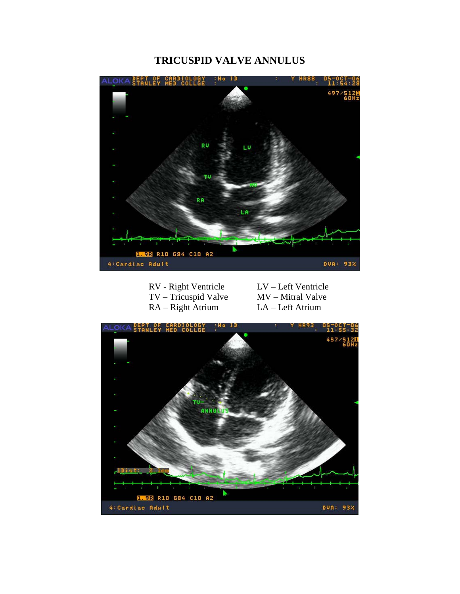## **TRICUSPID VALVE ANNULUS**



| RV - Right Ventricle |  |
|----------------------|--|
| TV – Tricuspid Valve |  |
| $RA - Right$ Atrium  |  |

LV – Left Ventricle MV – Mitral Valve LA – Left Atrium

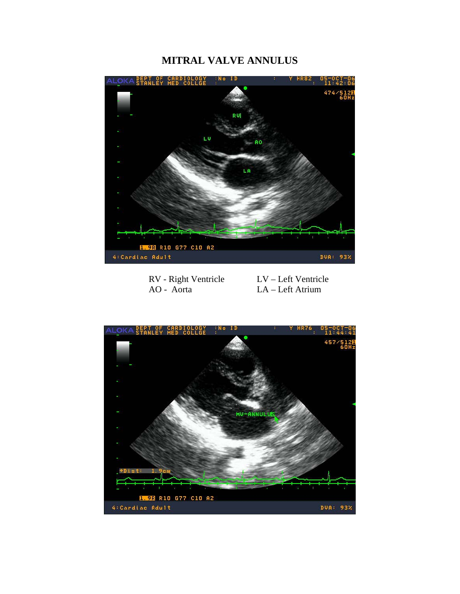## **MITRAL VALVE ANNULUS**



RV - Right Ventricle<br>
AO - Aorta<br>
LA – Left Atrium LA – Left Atrium

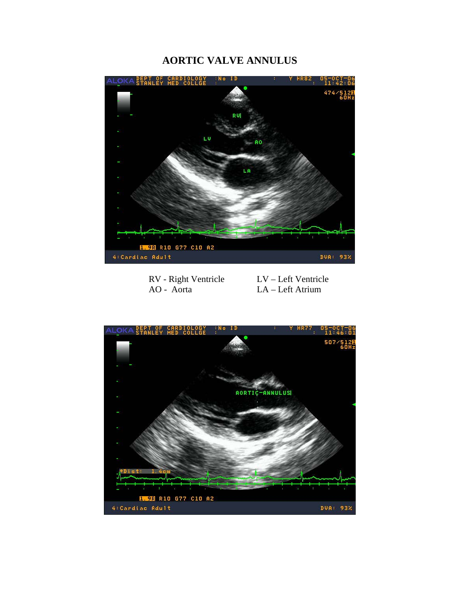## **AORTIC VALVE ANNULUS**



RV - Right Ventricle<br>
AO - Aorta<br>
LA – Left Atrium LA – Left Atrium